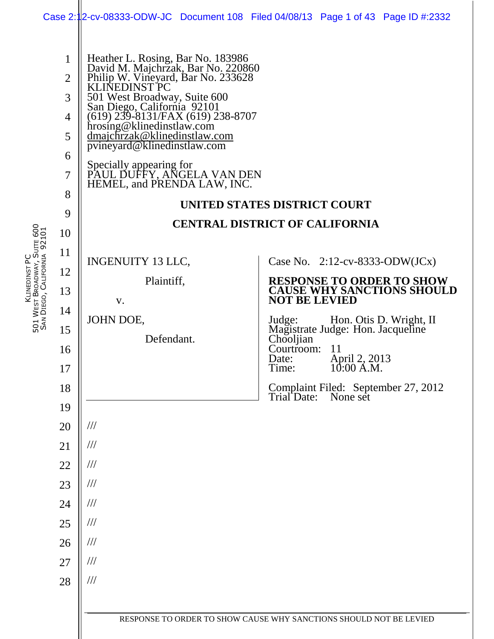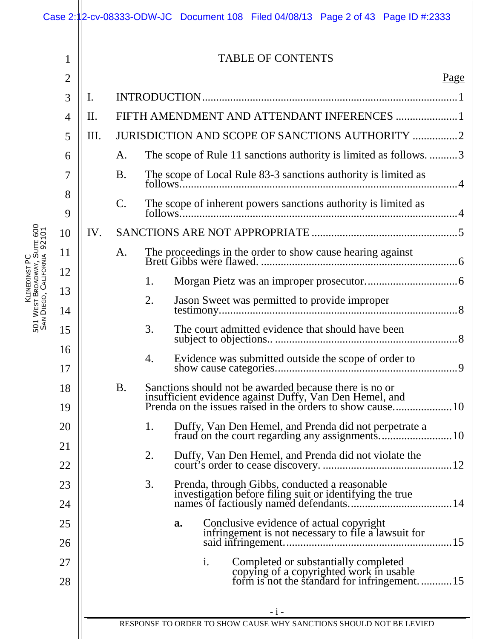|                             |                |     |                |    | Case 2:12-cv-08333-ODW-JC Document 108 Filed 04/08/13 Page 2 of 43 Page ID #:2333                                                                |
|-----------------------------|----------------|-----|----------------|----|--------------------------------------------------------------------------------------------------------------------------------------------------|
|                             | 1              |     |                |    | <b>TABLE OF CONTENTS</b>                                                                                                                         |
|                             | $\overline{2}$ |     |                |    | Page                                                                                                                                             |
|                             | 3              | I.  |                |    |                                                                                                                                                  |
|                             | $\overline{4}$ | II. |                |    | FIFTH AMENDMENT AND ATTENDANT INFERENCES  1                                                                                                      |
|                             | 5              | Ш.  |                |    | JURISDICTION AND SCOPE OF SANCTIONS AUTHORITY 2                                                                                                  |
|                             | 6              |     | A.             |    | The scope of Rule 11 sanctions authority is limited as follows. 3                                                                                |
|                             | 7              |     | <b>B.</b>      |    | The scope of Local Rule 83-3 sanctions authority is limited as                                                                                   |
|                             | 8<br>9         |     | $\mathcal{C}.$ |    | The scope of inherent powers sanctions authority is limited as                                                                                   |
|                             | 10             | IV. |                |    |                                                                                                                                                  |
| SAN DIEGO, CALIFORNIA 92101 | 11             |     | A.             |    |                                                                                                                                                  |
|                             | 12             |     |                | 1. |                                                                                                                                                  |
|                             | 13<br>14       |     |                | 2. | Jason Sweet was permitted to provide improper                                                                                                    |
|                             | 15             |     |                | 3. | The court admitted evidence that should have been                                                                                                |
|                             | 16<br>17       |     |                | 4. | Evidence was submitted outside the scope of order to                                                                                             |
|                             | 18<br>19       |     | <b>B.</b>      |    | Sanctions should not be awarded because there is no or                                                                                           |
|                             | 20             |     |                | 1. | Duffy, Van Den Hemel, and Prenda did not perpetrate a                                                                                            |
|                             | 21<br>22       |     |                | 2. | Duffy, Van Den Hemel, and Prenda did not violate the                                                                                             |
|                             | 23             |     |                | 3. | Prenda, through Gibbs, conducted a reasonable<br>investigation before filing suit or identifying the true                                        |
|                             | 24             |     |                |    |                                                                                                                                                  |
|                             | 25<br>26       |     |                |    | Conclusive evidence of actual copyright<br>infringement is not necessary to file a lawsuit for<br>a.                                             |
|                             | 27<br>28       |     |                |    | $\mathbf{i}$ .<br>Completed or substantially completed<br>copying of a copyrighted work in usable<br>form is not the standard for infringement15 |
|                             |                |     |                |    | $-i-$                                                                                                                                            |
|                             |                |     |                |    | RESPONSE TO ORDER TO SHOW CAUSE WHY SANCTIONS SHOULD NOT BE LEVIED                                                                               |

KLINEDINST PC 5<br>5<br>5 W<sub>EST</sub> BROADWAY, SUITE 600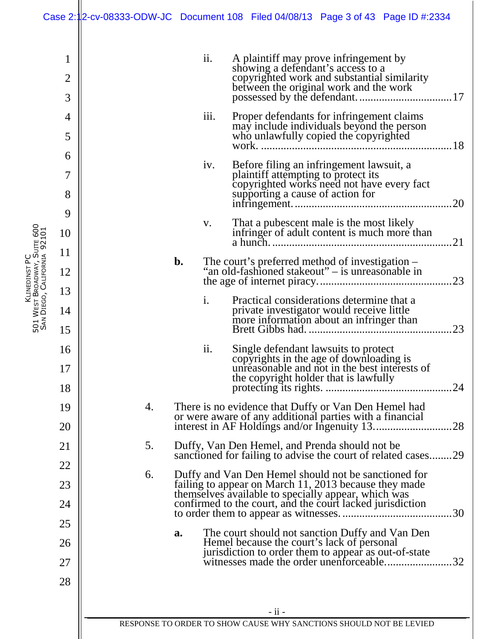|                                                             |                          |    |                                                                                                                                                                                                                                                                                         |                | Case 2:12-cv-08333-ODW-JC Document 108 Filed 04/08/13 Page 3 of 43 Page ID #:2334                                                                                               |  |  |
|-------------------------------------------------------------|--------------------------|----|-----------------------------------------------------------------------------------------------------------------------------------------------------------------------------------------------------------------------------------------------------------------------------------------|----------------|---------------------------------------------------------------------------------------------------------------------------------------------------------------------------------|--|--|
|                                                             | 1<br>$\overline{2}$<br>3 |    |                                                                                                                                                                                                                                                                                         | ii.            | A plaintiff may prove infringement by<br>showing a defendant's access to a<br>copyrighted work and substantial similarity<br>between the original work and the work             |  |  |
|                                                             | 4<br>5                   |    |                                                                                                                                                                                                                                                                                         | iii.           | Proper defendants for infringement claims<br>may include individuals beyond the person<br>who unlawfully copied the copyrighted                                                 |  |  |
|                                                             | 6<br>7<br>8              |    |                                                                                                                                                                                                                                                                                         | iv.            | Before filing an infringement lawsuit, a<br>plaintiff attempting to protect its<br>copyrighted works need not have every fact<br>supporting a cause of action for<br>20         |  |  |
|                                                             | 9<br>10                  |    |                                                                                                                                                                                                                                                                                         | V.             | That a pubescent male is the most likely<br>infringer of adult content is much more than<br>21                                                                                  |  |  |
|                                                             | 11<br>12<br>13           |    | b.                                                                                                                                                                                                                                                                                      |                | The court's preferred method of investigation –<br>"an old-fashioned stakeout" – is unreasonable in                                                                             |  |  |
| 501 West Broadway, Suite 600<br>San Diego, California 92101 | 14<br>15                 |    |                                                                                                                                                                                                                                                                                         | $\mathbf{i}$ . | Practical considerations determine that a<br>private investigator would receive little<br>more information about an infringer than                                              |  |  |
|                                                             | 16<br>17<br>18           |    |                                                                                                                                                                                                                                                                                         | ii.            | Single defendant lawsuits to protect<br>copyrights in the age of downloading is<br>unreasonable and not in the best interests of<br>the copyright holder that is lawfully<br>24 |  |  |
|                                                             | 19<br>20                 | 4. |                                                                                                                                                                                                                                                                                         |                | There is no evidence that Duffy or Van Den Hemel had<br>or were aware of any additional parties with a financial<br>28<br>interest in AF Holdings and/or Ingenuity 13           |  |  |
|                                                             | 21                       | 5. | Duffy, Van Den Hemel, and Prenda should not be<br>sanctioned for failing to advise the court of related cases29<br>Duffy and Van Den Hemel should not be sanctioned for<br>failing to appear on March 11, 2013 because they made<br>themselves available to specially appear, which was |                |                                                                                                                                                                                 |  |  |
|                                                             | 22<br>23<br>24           | 6. |                                                                                                                                                                                                                                                                                         |                |                                                                                                                                                                                 |  |  |
|                                                             | 25                       |    | a.                                                                                                                                                                                                                                                                                      |                | confirmed to the court, and the court lacked jurisdiction<br>30<br>The court should not sanction Duffy and Van Den                                                              |  |  |
|                                                             | 26<br>27                 |    |                                                                                                                                                                                                                                                                                         |                | Hemel because the court's lack of personal<br>jurisdiction to order them to appear as out-of-state<br>witnesses made the order unenforceable<br>32                              |  |  |
|                                                             | 28                       |    |                                                                                                                                                                                                                                                                                         |                | - ii -                                                                                                                                                                          |  |  |
|                                                             |                          |    |                                                                                                                                                                                                                                                                                         |                | RESPONSE TO ORDER TO SHOW CAUSE WHY SANCTIONS SHOULD NOT BE LEVIED                                                                                                              |  |  |

KLINEDINST PC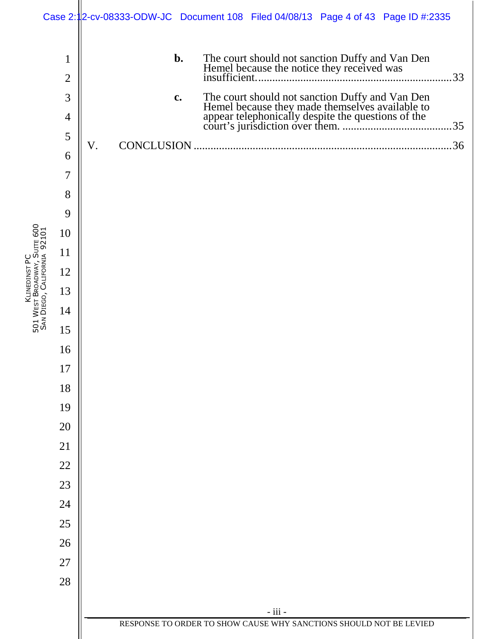|                                                             |                                | Case 2:12-cv-08333-ODW-JC Document 108 Filed 04/08/13 Page 4 of 43 Page ID #:2335                   |     |
|-------------------------------------------------------------|--------------------------------|-----------------------------------------------------------------------------------------------------|-----|
|                                                             | $\mathbf{1}$<br>$\overline{2}$ | b.<br>The court should not sanction Duffy and Van Den<br>Hemel because the notice they received was | .33 |
|                                                             | 3                              | c.                                                                                                  |     |
|                                                             | 4                              |                                                                                                     |     |
|                                                             | 5                              | V.<br><b>CONCLUSION</b>                                                                             |     |
|                                                             | 6<br>$\overline{7}$            |                                                                                                     |     |
|                                                             |                                |                                                                                                     |     |
|                                                             | 8<br>9                         |                                                                                                     |     |
|                                                             | 10                             |                                                                                                     |     |
|                                                             | 11                             |                                                                                                     |     |
|                                                             | 12                             |                                                                                                     |     |
|                                                             | 13                             |                                                                                                     |     |
| 501 West Broadway, Suite 600<br>San Diego, California 92101 | 14                             |                                                                                                     |     |
|                                                             | 15                             |                                                                                                     |     |
|                                                             | 16                             |                                                                                                     |     |
|                                                             | 17                             |                                                                                                     |     |
|                                                             | 18                             |                                                                                                     |     |
|                                                             | 19                             |                                                                                                     |     |
|                                                             | 20                             |                                                                                                     |     |
|                                                             | 21                             |                                                                                                     |     |
|                                                             | 22                             |                                                                                                     |     |
|                                                             | 23                             |                                                                                                     |     |
|                                                             | 24                             |                                                                                                     |     |
|                                                             | 25                             |                                                                                                     |     |
|                                                             | 26                             |                                                                                                     |     |
|                                                             | 27                             |                                                                                                     |     |
|                                                             | 28                             |                                                                                                     |     |
|                                                             |                                | - iii -                                                                                             |     |
|                                                             |                                | RESPONSE TO ORDER TO SHOW CAUSE WHY SANCTIONS SHOULD NOT BE LEVIED                                  |     |
|                                                             |                                |                                                                                                     |     |

KLINEDINST PC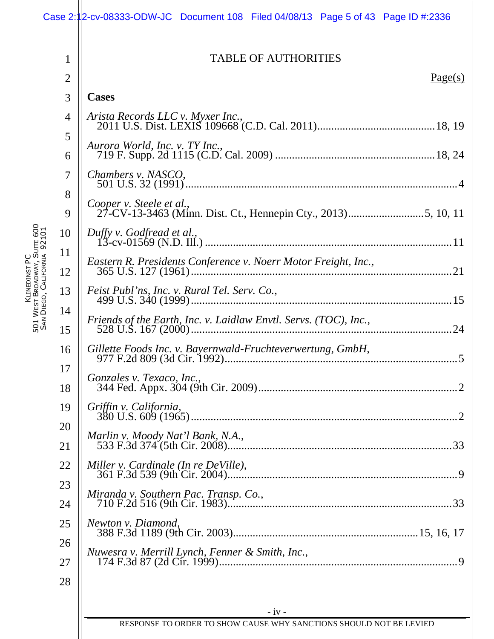|                                                             |                | Case 2:12-cv-08333-ODW-JC Document 108 Filed 04/08/13 Page 5 of 43 Page ID #:2336 |
|-------------------------------------------------------------|----------------|-----------------------------------------------------------------------------------|
|                                                             | 1              | <b>TABLE OF AUTHORITIES</b>                                                       |
|                                                             | $\overline{2}$ | Page(s)                                                                           |
|                                                             | 3              | <b>Cases</b>                                                                      |
|                                                             | 4              | Arista Records LLC v. Myxer Inc.,                                                 |
|                                                             | 5<br>6         | Aurora World, Inc. v. TY Inc.,                                                    |
|                                                             | 7              | Chambers v. NASCO,                                                                |
|                                                             | 8              | Cooper v. Steele et al.,                                                          |
|                                                             | 9              |                                                                                   |
|                                                             | 10             | Duffy v. Godfread et al.,                                                         |
|                                                             | 11<br>12       | Eastern R. Presidents Conference v. Noerr Motor Freight, Inc.,                    |
| 501 West Broadway, Suite 600<br>San Diego, California 92101 | 13             | Feist Publ'ns, Inc. v. Rural Tel. Serv. Co.,                                      |
|                                                             | 14             | Friends of the Earth, Inc. v. Laidlaw Envtl. Servs. (TOC), Inc.,                  |
|                                                             | 15             |                                                                                   |
|                                                             | 16<br>17       | Gillette Foods Inc. v. Bayernwald-Fruchteverwertung, GmbH,                        |
|                                                             | 18             | Gonzales v. Texaco, Inc.,                                                         |
|                                                             | 19             | Griffin v. California,                                                            |
|                                                             | 20<br>21       | Marlin v. Moody Nat'l Bank, N.A.,                                                 |
|                                                             | 22             | Miller v. Cardinale (In re DeVille),                                              |
|                                                             | 23             |                                                                                   |
|                                                             | 24             | Miranda v. Southern Pac. Transp. Co.,                                             |
|                                                             | 25             | Newton v. Diamond,                                                                |
|                                                             | 26             |                                                                                   |
|                                                             | 27             | Nuwesra v. Merrill Lynch, Fenner & Smith, Inc.,                                   |
|                                                             | 28             |                                                                                   |
|                                                             |                |                                                                                   |
|                                                             |                | $-iv -$<br>RESPONSE TO ORDER TO SHOW CAUSE WHY SANCTIONS SHOULD NOT BE LEVIED     |
|                                                             |                |                                                                                   |

KLINEDINST PC W<sub>EST</sub> BROADWAY, SUITE 600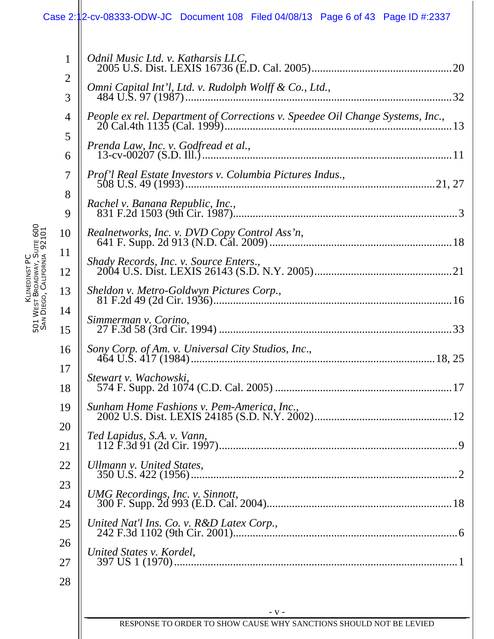## Case 2:12-cv-08333-ODW-JC Document 108 Filed 04/08/13 Page 6 of 43 Page ID #:2337

| $\mathbf{1}$        | Odnil Music Ltd. v. Katharsis LLC.                                            |
|---------------------|-------------------------------------------------------------------------------|
| $\overline{2}$<br>3 | Omni Capital Int'l, Ltd. v. Rudolph Wolff & Co., Ltd.,                        |
| 4                   | People ex rel. Department of Corrections v. Speedee Oil Change Systems, Inc., |
| 5<br>6              |                                                                               |
| $\tau$              | Prof'l Real Estate Investors v. Columbia Pictures Indus.,                     |
| 8<br>9              | Rachel v. Banana Republic, Inc.,                                              |
| 10                  | Realnetworks, Inc. v. DVD Copy Control Ass'n,                                 |
| 11<br>12            | Shady Records, Inc. v. Source Enters.,                                        |
| 13                  |                                                                               |
| 14<br>15            | Simmerman v. Corino,                                                          |
| 16                  |                                                                               |
| 17<br>18            | Stewart v. Wachowski,                                                         |
| 19                  | Sunham Home Fashions v. Pem-America, Inc.,                                    |
| 20<br>21            | Ted Lapidus, S.A. v. Vann,                                                    |
| 22                  | Ullmann v. United States,                                                     |
| 23<br>24            |                                                                               |
| 25                  | United Nat'l Ins. Co. v. R&D Latex Corp.,                                     |
| 26<br>27            | United States v. Kordel,                                                      |
| 28                  |                                                                               |
|                     | $-V -$                                                                        |
|                     | RESPONSE TO ORDER TO SHOW CAUSE WHY SANCTIONS SHOULD NOT BE LEVIED            |

KLINEDINST PC 5<br>5<br>5 W<sub>EST</sub> BROADWAY, SUITE 600 SAN DIEGO, CALIFORNIA 92101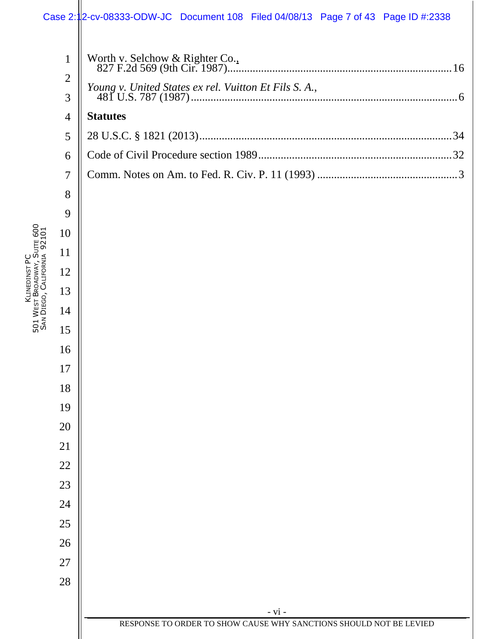### Case 2:12-cv-08333-ODW-JC Document 108 Filed 04/08/13 Page 7 of 43 Page ID #:2338

KLINEDINST PC W<sub>EST</sub> BROADWAY, SUITE 600 DIEGO, CALIFORNIA

5<br>5<br>5

SAN

|                | se 2:112-cv-08333-ODW-JC Document 108 Filed 04/08/13 Page 7 of 43 Page ID #:2338 |
|----------------|----------------------------------------------------------------------------------|
| $\mathbf{1}$   |                                                                                  |
| $\overline{2}$ | Young v. United States ex rel. Vuitton Et Fils S. A.,                            |
| 3              |                                                                                  |
| $\overline{4}$ | <b>Statutes</b>                                                                  |
| 5              |                                                                                  |
| 6              |                                                                                  |
| $\overline{7}$ |                                                                                  |
| 8              |                                                                                  |
| 9              |                                                                                  |
| 10             |                                                                                  |
| 11             |                                                                                  |
| 12             |                                                                                  |
| 13             |                                                                                  |
| 14             |                                                                                  |
| 15             |                                                                                  |
| 16             |                                                                                  |
| 17             |                                                                                  |
| 18             |                                                                                  |
| 19             |                                                                                  |
| 20             |                                                                                  |
| 21             |                                                                                  |
| 22             |                                                                                  |
| 23             |                                                                                  |
| 24             |                                                                                  |
| 25             |                                                                                  |
| 26             |                                                                                  |
| $27\,$         |                                                                                  |
| 28             |                                                                                  |
|                |                                                                                  |
|                | - vi -                                                                           |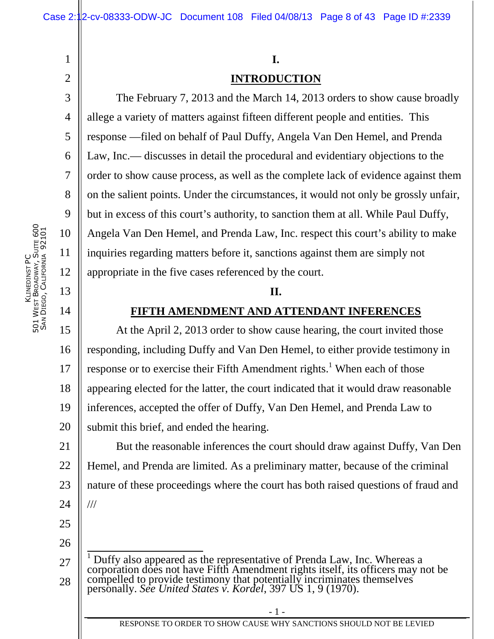# 4 6 8 9

1

2

3

5

7

10

11

12

13

14

#### **I.**

## **INTRODUCTION**

The February 7, 2013 and the March 14, 2013 orders to show cause broadly allege a variety of matters against fifteen different people and entities. This response —filed on behalf of Paul Duffy, Angela Van Den Hemel, and Prenda Law, Inc.— discusses in detail the procedural and evidentiary objections to the order to show cause process, as well as the complete lack of evidence against them on the salient points. Under the circumstances, it would not only be grossly unfair, but in excess of this court's authority, to sanction them at all. While Paul Duffy, Angela Van Den Hemel, and Prenda Law, Inc. respect this court's ability to make inquiries regarding matters before it, sanctions against them are simply not appropriate in the five cases referenced by the court.

#### **II.**

#### **FIFTH AMENDMENT AND ATTENDANT INFERENCES**

15 16 17 18 19 20 At the April 2, 2013 order to show cause hearing, the court invited those responding, including Duffy and Van Den Hemel, to either provide testimony in response or to exercise their Fifth Amendment rights.<sup>1</sup> When each of those appearing elected for the latter, the court indicated that it would draw reasonable inferences, accepted the offer of Duffy, Van Den Hemel, and Prenda Law to submit this brief, and ended the hearing.

21 22 23 24 But the reasonable inferences the court should draw against Duffy, Van Den Hemel, and Prenda are limited. As a preliminary matter, because of the criminal nature of these proceedings where the court has both raised questions of fraud and ///

26

<sup>27</sup> 28 <sup>1</sup> Duffy also appeared as the representative of Prenda Law, Inc. Whereas a corporation does not have Fifth Amendment rights itself, its officers may not be compelled to provide testimony that potentially incriminates themselves personally. *See United States v. Kordel*, 397 US 1, 9 (1970).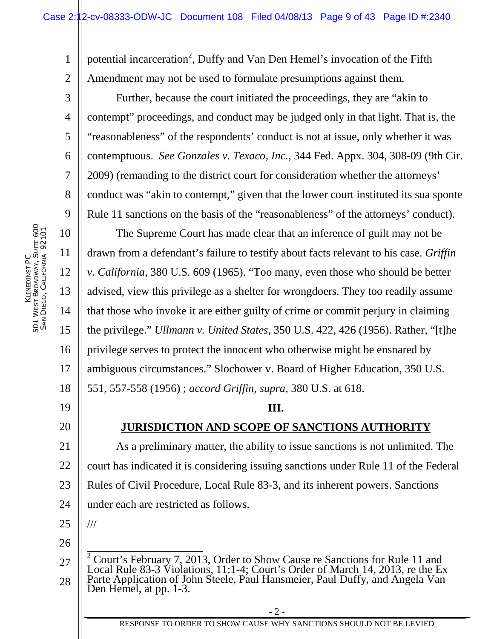1 2 potential incarceration<sup>2</sup>, Duffy and Van Den Hemel's invocation of the Fifth Amendment may not be used to formulate presumptions against them.

Further, because the court initiated the proceedings, they are "akin to contempt" proceedings, and conduct may be judged only in that light. That is, the "reasonableness" of the respondents' conduct is not at issue, only whether it was contemptuous. *See Gonzales v. Texaco, Inc.*, 344 Fed. Appx. 304, 308-09 (9th Cir. 2009) (remanding to the district court for consideration whether the attorneys' conduct was "akin to contempt," given that the lower court instituted its sua sponte Rule 11 sanctions on the basis of the "reasonableness" of the attorneys' conduct).

10 14 18 The Supreme Court has made clear that an inference of guilt may not be drawn from a defendant's failure to testify about facts relevant to his case. *Griffin v. California*, 380 U.S. 609 (1965). "Too many, even those who should be better advised, view this privilege as a shelter for wrongdoers. They too readily assume that those who invoke it are either guilty of crime or commit perjury in claiming the privilege." *Ullmann v. United States*, 350 U.S. 422, 426 (1956). Rather, "[t]he privilege serves to protect the innocent who otherwise might be ensnared by ambiguous circumstances." Slochower v. Board of Higher Education, 350 U.S. 551, 557-558 (1956) ; *accord Griffin*, *supra*, 380 U.S. at 618.

#### **III.**

## **JURISDICTION AND SCOPE OF SANCTIONS AUTHORITY**

21 22 23 24 As a preliminary matter, the ability to issue sanctions is not unlimited. The court has indicated it is considering issuing sanctions under Rule 11 of the Federal Rules of Civil Procedure, Local Rule 83-3, and its inherent powers. Sanctions under each are restricted as follows.

25

///

26

3

4

5

6

7

8

9

11

12

13

15

16

17

19

<sup>27</sup> 28 <sup>2</sup> Court's February 7, 2013, Order to Show Cause re Sanctions for Rule 11 and Local Rule 83-3 Violations, 11:1-4; Court's Order of March 14, 2013, re the Ex Parte Application of John Steele, Paul Hansmeier, Paul Duffy, and Angela Van Den Hemel, at pp. 1-3.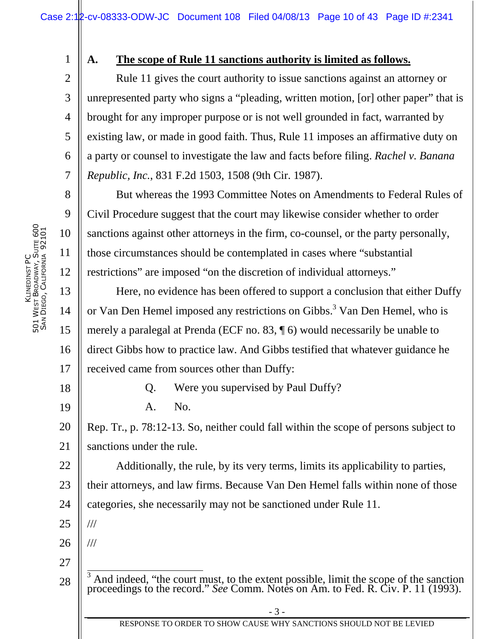KLINEDINST PC 5<br>5<br>5 W<sub>EST</sub> BROADWAY, SUITE 600 SAN DIEGO, CALIFORNIA 92101 1

2

3

4

5

6

7

8

9

10

11

12

13

14

15

16

17

18

19

22

#### **A. The scope of Rule 11 sanctions authority is limited as follows.**

Rule 11 gives the court authority to issue sanctions against an attorney or unrepresented party who signs a "pleading, written motion, [or] other paper" that is brought for any improper purpose or is not well grounded in fact, warranted by existing law, or made in good faith. Thus, Rule 11 imposes an affirmative duty on a party or counsel to investigate the law and facts before filing. *Rachel v. Banana Republic, Inc.*, 831 F.2d 1503, 1508 (9th Cir. 1987).

But whereas the 1993 Committee Notes on Amendments to Federal Rules of Civil Procedure suggest that the court may likewise consider whether to order sanctions against other attorneys in the firm, co-counsel, or the party personally, those circumstances should be contemplated in cases where "substantial restrictions" are imposed "on the discretion of individual attorneys."

Here, no evidence has been offered to support a conclusion that either Duffy or Van Den Hemel imposed any restrictions on Gibbs.<sup>3</sup> Van Den Hemel, who is merely a paralegal at Prenda (ECF no. 83, ¶ 6) would necessarily be unable to direct Gibbs how to practice law. And Gibbs testified that whatever guidance he received came from sources other than Duffy:

Q. Were you supervised by Paul Duffy?

A. No.

20 21 Rep. Tr., p. 78:12-13. So, neither could fall within the scope of persons subject to sanctions under the rule.

Additionally, the rule, by its very terms, limits its applicability to parties,

23 their attorneys, and law firms. Because Van Den Hemel falls within none of those

24 categories, she necessarily may not be sanctioned under Rule 11.

25 ///

///

26

<sup>28</sup> <sup>3</sup> And indeed, "the court must, to the extent possible, limit the scope of the sanction proceedings to the record." *See* Comm. Notes on Am. to Fed. R. Civ. P. 11 (1993).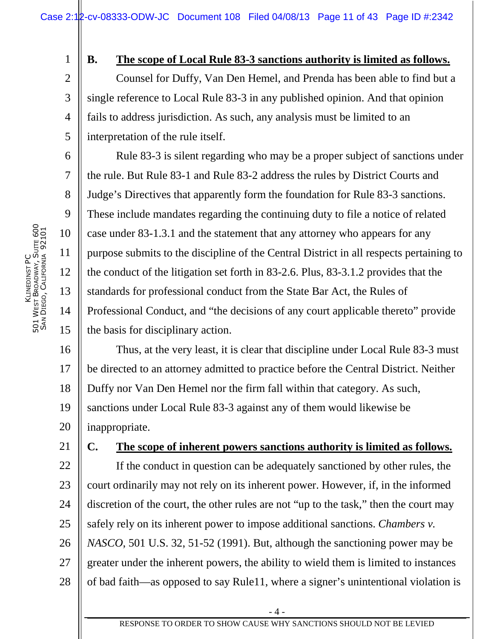2 3 4

5

6

7

8

9

10

11

12

13

14

15

1

#### **B. The scope of Local Rule 83-3 sanctions authority is limited as follows.**

Counsel for Duffy, Van Den Hemel, and Prenda has been able to find but a single reference to Local Rule 83-3 in any published opinion. And that opinion fails to address jurisdiction. As such, any analysis must be limited to an interpretation of the rule itself.

Rule 83-3 is silent regarding who may be a proper subject of sanctions under the rule. But Rule 83-1 and Rule 83-2 address the rules by District Courts and Judge's Directives that apparently form the foundation for Rule 83-3 sanctions. These include mandates regarding the continuing duty to file a notice of related case under 83-1.3.1 and the statement that any attorney who appears for any purpose submits to the discipline of the Central District in all respects pertaining to the conduct of the litigation set forth in 83-2.6. Plus, 83-3.1.2 provides that the standards for professional conduct from the State Bar Act, the Rules of Professional Conduct, and "the decisions of any court applicable thereto" provide the basis for disciplinary action.

16 17 18 19 20 Thus, at the very least, it is clear that discipline under Local Rule 83-3 must be directed to an attorney admitted to practice before the Central District. Neither Duffy nor Van Den Hemel nor the firm fall within that category. As such, sanctions under Local Rule 83-3 against any of them would likewise be inappropriate.

21 22 23 24 25 26 27 28 **C. The scope of inherent powers sanctions authority is limited as follows.**  If the conduct in question can be adequately sanctioned by other rules, the court ordinarily may not rely on its inherent power. However, if, in the informed discretion of the court, the other rules are not "up to the task," then the court may safely rely on its inherent power to impose additional sanctions. *Chambers v. NASCO*, 501 U.S. 32, 51-52 (1991). But, although the sanctioning power may be greater under the inherent powers, the ability to wield them is limited to instances of bad faith—as opposed to say Rule11, where a signer's unintentional violation is

- 4 -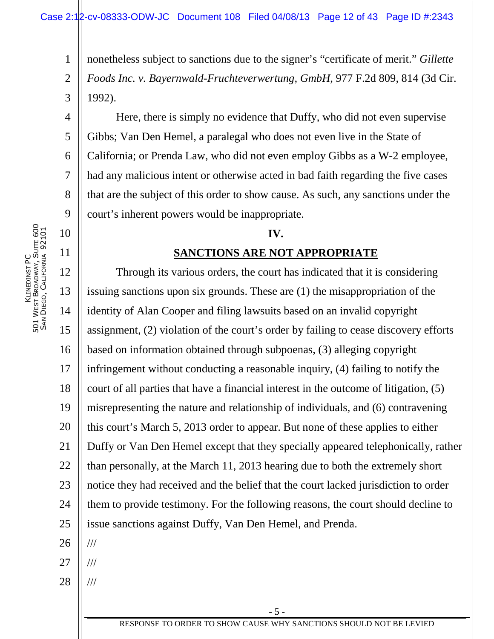1 2 3 nonetheless subject to sanctions due to the signer's "certificate of merit." *Gillette Foods Inc. v. Bayernwald-Fruchteverwertung, GmbH*, 977 F.2d 809, 814 (3d Cir. 1992).

Here, there is simply no evidence that Duffy, who did not even supervise Gibbs; Van Den Hemel, a paralegal who does not even live in the State of California; or Prenda Law, who did not even employ Gibbs as a W-2 employee, had any malicious intent or otherwise acted in bad faith regarding the five cases that are the subject of this order to show cause. As such, any sanctions under the court's inherent powers would be inappropriate.

#### **IV.**

#### **SANCTIONS ARE NOT APPROPRIATE**

12 13 14 15 16 17 18 19 20 21 22 23 24 25 26 Through its various orders, the court has indicated that it is considering issuing sanctions upon six grounds. These are (1) the misappropriation of the identity of Alan Cooper and filing lawsuits based on an invalid copyright assignment, (2) violation of the court's order by failing to cease discovery efforts based on information obtained through subpoenas, (3) alleging copyright infringement without conducting a reasonable inquiry, (4) failing to notify the court of all parties that have a financial interest in the outcome of litigation, (5) misrepresenting the nature and relationship of individuals, and (6) contravening this court's March 5, 2013 order to appear. But none of these applies to either Duffy or Van Den Hemel except that they specially appeared telephonically, rather than personally, at the March 11, 2013 hearing due to both the extremely short notice they had received and the belief that the court lacked jurisdiction to order them to provide testimony. For the following reasons, the court should decline to issue sanctions against Duffy, Van Den Hemel, and Prenda. ///

- 27 ///
- 28 ///

4

5

6

7

8

9

10

11

RESPONSE TO ORDER TO SHOW CAUSE WHY SANCTIONS SHOULD NOT BE LEVIED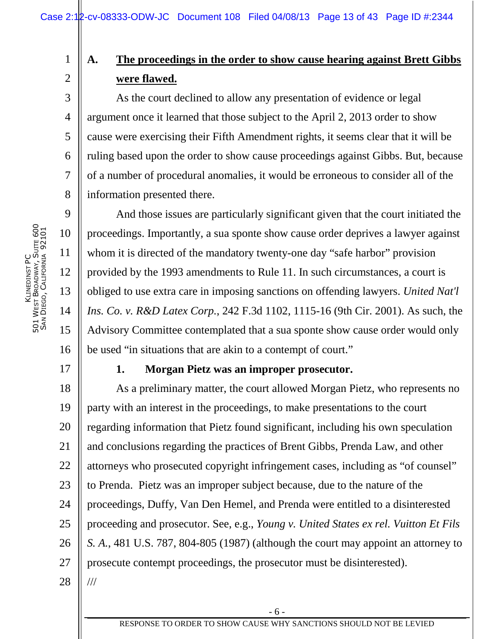## **A. The proceedings in the order to show cause hearing against Brett Gibbs were flawed.**

As the court declined to allow any presentation of evidence or legal argument once it learned that those subject to the April 2, 2013 order to show cause were exercising their Fifth Amendment rights, it seems clear that it will be ruling based upon the order to show cause proceedings against Gibbs. But, because of a number of procedural anomalies, it would be erroneous to consider all of the information presented there.

And those issues are particularly significant given that the court initiated the proceedings. Importantly, a sua sponte show cause order deprives a lawyer against whom it is directed of the mandatory twenty-one day "safe harbor" provision provided by the 1993 amendments to Rule 11. In such circumstances, a court is obliged to use extra care in imposing sanctions on offending lawyers. *United Nat'l Ins. Co. v. R&D Latex Corp.*, 242 F.3d 1102, 1115-16 (9th Cir. 2001). As such, the Advisory Committee contemplated that a sua sponte show cause order would only be used "in situations that are akin to a contempt of court."

## **1. Morgan Pietz was an improper prosecutor.**

18 19 20 21 22 23 24 25 26 27 28 As a preliminary matter, the court allowed Morgan Pietz, who represents no party with an interest in the proceedings, to make presentations to the court regarding information that Pietz found significant, including his own speculation and conclusions regarding the practices of Brent Gibbs, Prenda Law, and other attorneys who prosecuted copyright infringement cases, including as "of counsel" to Prenda. Pietz was an improper subject because, due to the nature of the proceedings, Duffy, Van Den Hemel, and Prenda were entitled to a disinterested proceeding and prosecutor. See, e.g., *Young v. United States ex rel. Vuitton Et Fils S. A.*, 481 U.S. 787, 804-805 (1987) (although the court may appoint an attorney to prosecute contempt proceedings, the prosecutor must be disinterested). ///

17

1

2

3

4

5

6

7

8

9

10

11

12

13

14

15

16

- 6 -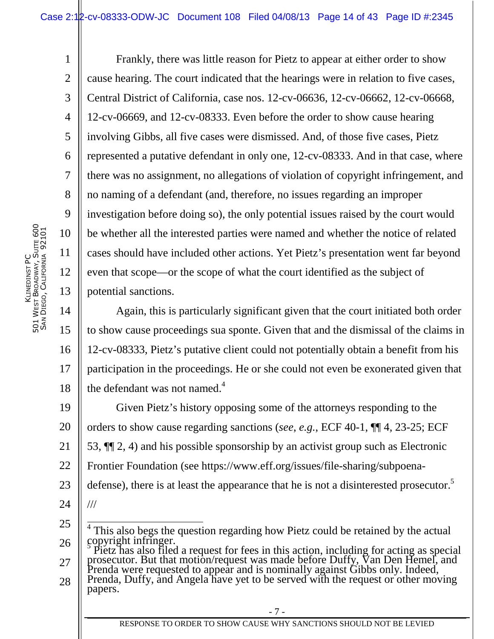1 2 3 4 5 6 7 8 9 10 11 12 13 Frankly, there was little reason for Pietz to appear at either order to show cause hearing. The court indicated that the hearings were in relation to five cases, Central District of California, case nos. 12-cv-06636, 12-cv-06662, 12-cv-06668, 12-cv-06669, and 12-cv-08333. Even before the order to show cause hearing involving Gibbs, all five cases were dismissed. And, of those five cases, Pietz represented a putative defendant in only one, 12-cv-08333. And in that case, where there was no assignment, no allegations of violation of copyright infringement, and no naming of a defendant (and, therefore, no issues regarding an improper investigation before doing so), the only potential issues raised by the court would be whether all the interested parties were named and whether the notice of related cases should have included other actions. Yet Pietz's presentation went far beyond even that scope—or the scope of what the court identified as the subject of potential sanctions.

14 15 16 17 18 Again, this is particularly significant given that the court initiated both order to show cause proceedings sua sponte. Given that and the dismissal of the claims in 12-cv-08333, Pietz's putative client could not potentially obtain a benefit from his participation in the proceedings. He or she could not even be exonerated given that the defendant was not named. $4$ 

19 20 21 22 23 24 Given Pietz's history opposing some of the attorneys responding to the orders to show cause regarding sanctions (*see*, *e.g.*, ECF 40-1, ¶¶ 4, 23-25; ECF 53, ¶¶ 2, 4) and his possible sponsorship by an activist group such as Electronic Frontier Foundation (see https://www.eff.org/issues/file-sharing/subpoenadefense), there is at least the appearance that he is not a disinterested prosecutor.<sup>5</sup> ///

27 prosecutor. But that motion/request was made before Duffy, Van Den Hemel, and Prenda were requested to appear and is nominally against Gibbs only. Indeed,

28 Prenda, Duffy, and Angela have yet to be served with the request or other moving papers.

<sup>25</sup> 26 <sup>4</sup> This also begs the question regarding how Pietz could be retained by the actual copyright infringer.<br>Thetz has also filed a request for fees in this action, including for acting as special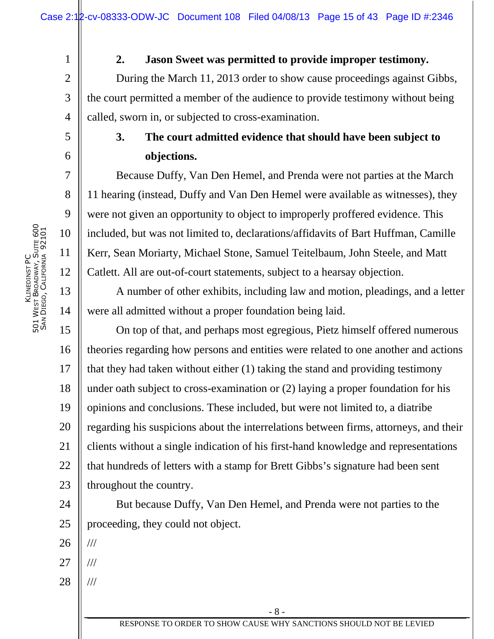#### **2. Jason Sweet was permitted to provide improper testimony.**

During the March 11, 2013 order to show cause proceedings against Gibbs, the court permitted a member of the audience to provide testimony without being called, sworn in, or subjected to cross-examination.

## **3. The court admitted evidence that should have been subject to objections.**

Because Duffy, Van Den Hemel, and Prenda were not parties at the March 11 hearing (instead, Duffy and Van Den Hemel were available as witnesses), they were not given an opportunity to object to improperly proffered evidence. This included, but was not limited to, declarations/affidavits of Bart Huffman, Camille Kerr, Sean Moriarty, Michael Stone, Samuel Teitelbaum, John Steele, and Matt Catlett. All are out-of-court statements, subject to a hearsay objection.

A number of other exhibits, including law and motion, pleadings, and a letter were all admitted without a proper foundation being laid.

15 16 17 18 19 20 21 22 23 On top of that, and perhaps most egregious, Pietz himself offered numerous theories regarding how persons and entities were related to one another and actions that they had taken without either (1) taking the stand and providing testimony under oath subject to cross-examination or (2) laying a proper foundation for his opinions and conclusions. These included, but were not limited to, a diatribe regarding his suspicions about the interrelations between firms, attorneys, and their clients without a single indication of his first-hand knowledge and representations that hundreds of letters with a stamp for Brett Gibbs's signature had been sent throughout the country.

24 25 But because Duffy, Van Den Hemel, and Prenda were not parties to the proceeding, they could not object.

26 ///

- 27 ///
- 28 ///

1

2

3

4

5

6

7

8

9

10

11

12

13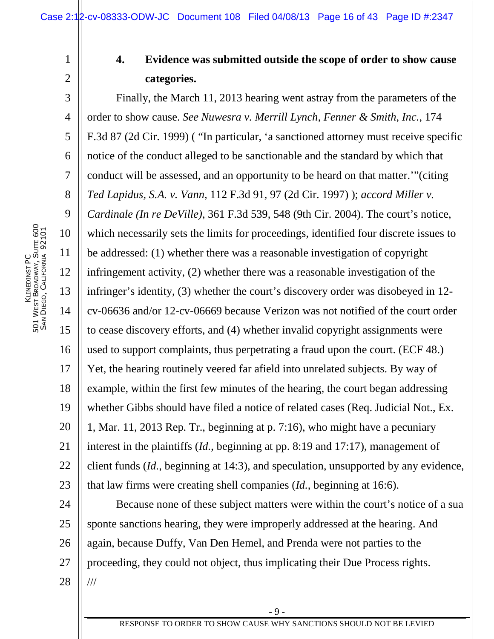1

2

## **4. Evidence was submitted outside the scope of order to show cause categories.**

3 4 5 6 7 8 9 10 11 12 13 14 15 16 17 18 19 20 21 22 23 Finally, the March 11, 2013 hearing went astray from the parameters of the order to show cause. *See Nuwesra v. Merrill Lynch, Fenner & Smith, Inc.*, 174 F.3d 87 (2d Cir. 1999) ( "In particular, 'a sanctioned attorney must receive specific notice of the conduct alleged to be sanctionable and the standard by which that conduct will be assessed, and an opportunity to be heard on that matter.'"(citing *Ted Lapidus, S.A. v. Vann*, 112 F.3d 91, 97 (2d Cir. 1997) ); *accord Miller v. Cardinale (In re DeVille)*, 361 F.3d 539, 548 (9th Cir. 2004). The court's notice, which necessarily sets the limits for proceedings, identified four discrete issues to be addressed: (1) whether there was a reasonable investigation of copyright infringement activity, (2) whether there was a reasonable investigation of the infringer's identity, (3) whether the court's discovery order was disobeyed in 12 cv-06636 and/or 12-cv-06669 because Verizon was not notified of the court order to cease discovery efforts, and (4) whether invalid copyright assignments were used to support complaints, thus perpetrating a fraud upon the court. (ECF 48.) Yet, the hearing routinely veered far afield into unrelated subjects. By way of example, within the first few minutes of the hearing, the court began addressing whether Gibbs should have filed a notice of related cases (Req. Judicial Not., Ex. 1, Mar. 11, 2013 Rep. Tr., beginning at p. 7:16), who might have a pecuniary interest in the plaintiffs (*Id.*, beginning at pp. 8:19 and 17:17), management of client funds (*Id.*, beginning at 14:3), and speculation, unsupported by any evidence, that law firms were creating shell companies (*Id.*, beginning at 16:6).

24 25 26 27 28 Because none of these subject matters were within the court's notice of a sua sponte sanctions hearing, they were improperly addressed at the hearing. And again, because Duffy, Van Den Hemel, and Prenda were not parties to the proceeding, they could not object, thus implicating their Due Process rights. ///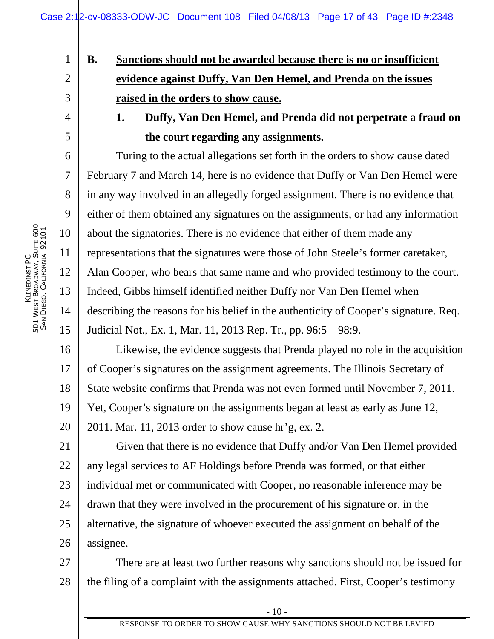# **B. Sanctions should not be awarded because there is no or insufficient evidence against Duffy, Van Den Hemel, and Prenda on the issues raised in the orders to show cause.**

## **1. Duffy, Van Den Hemel, and Prenda did not perpetrate a fraud on the court regarding any assignments.**

Turing to the actual allegations set forth in the orders to show cause dated February 7 and March 14, here is no evidence that Duffy or Van Den Hemel were in any way involved in an allegedly forged assignment. There is no evidence that either of them obtained any signatures on the assignments, or had any information about the signatories. There is no evidence that either of them made any representations that the signatures were those of John Steele's former caretaker, Alan Cooper, who bears that same name and who provided testimony to the court. Indeed, Gibbs himself identified neither Duffy nor Van Den Hemel when describing the reasons for his belief in the authenticity of Cooper's signature. Req. Judicial Not., Ex. 1, Mar. 11, 2013 Rep. Tr., pp. 96:5 – 98:9.

16 17 18 19 20 Likewise, the evidence suggests that Prenda played no role in the acquisition of Cooper's signatures on the assignment agreements. The Illinois Secretary of State website confirms that Prenda was not even formed until November 7, 2011. Yet, Cooper's signature on the assignments began at least as early as June 12, 2011. Mar. 11, 2013 order to show cause hr'g, ex. 2.

21 22 23 24 25 26 Given that there is no evidence that Duffy and/or Van Den Hemel provided any legal services to AF Holdings before Prenda was formed, or that either individual met or communicated with Cooper, no reasonable inference may be drawn that they were involved in the procurement of his signature or, in the alternative, the signature of whoever executed the assignment on behalf of the assignee.

27 28 There are at least two further reasons why sanctions should not be issued for the filing of a complaint with the assignments attached. First, Cooper's testimony

1

2

3

4

5

6

7

8

9

10

11

12

13

14

15

- 10 -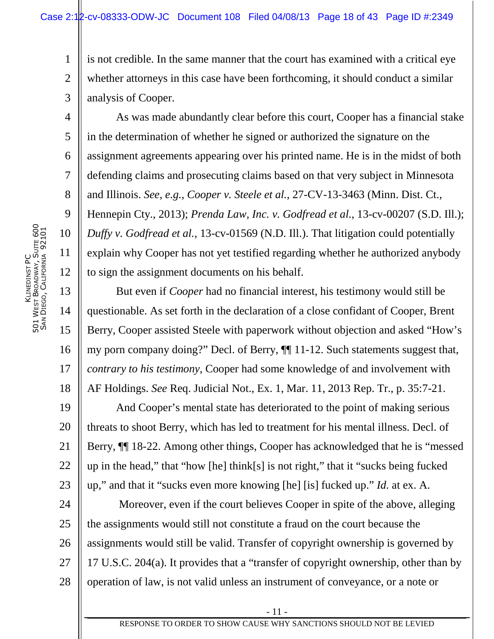1 2 3 is not credible. In the same manner that the court has examined with a critical eye whether attorneys in this case have been forthcoming, it should conduct a similar analysis of Cooper.

As was made abundantly clear before this court, Cooper has a financial stake in the determination of whether he signed or authorized the signature on the assignment agreements appearing over his printed name. He is in the midst of both defending claims and prosecuting claims based on that very subject in Minnesota and Illinois. *See*, *e.g.*, *Cooper v. Steele et al.*, 27-CV-13-3463 (Minn. Dist. Ct., Hennepin Cty., 2013); *Prenda Law, Inc. v. Godfread et al.*, 13-cv-00207 (S.D. Ill.); *Duffy v. Godfread et al.,* 13-cv-01569 (N.D. Ill.). That litigation could potentially explain why Cooper has not yet testified regarding whether he authorized anybody to sign the assignment documents on his behalf.

But even if *Cooper* had no financial interest, his testimony would still be questionable. As set forth in the declaration of a close confidant of Cooper, Brent Berry, Cooper assisted Steele with paperwork without objection and asked "How's my porn company doing?" Decl. of Berry, ¶¶ 11-12. Such statements suggest that, *contrary to his testimony*, Cooper had some knowledge of and involvement with AF Holdings. *See* Req. Judicial Not., Ex. 1, Mar. 11, 2013 Rep. Tr., p. 35:7-21.

19 20 21 22 23 And Cooper's mental state has deteriorated to the point of making serious threats to shoot Berry, which has led to treatment for his mental illness. Decl. of Berry, ¶¶ 18-22. Among other things, Cooper has acknowledged that he is "messed up in the head," that "how [he] think[s] is not right," that it "sucks being fucked up," and that it "sucks even more knowing [he] [is] fucked up." *Id.* at ex. A.

24 25 26 27 28 Moreover, even if the court believes Cooper in spite of the above, alleging the assignments would still not constitute a fraud on the court because the assignments would still be valid. Transfer of copyright ownership is governed by 17 U.S.C. 204(a). It provides that a "transfer of copyright ownership, other than by operation of law, is not valid unless an instrument of conveyance, or a note or

4

5

6

7

8

9

10

11

12

13

14

15

16

17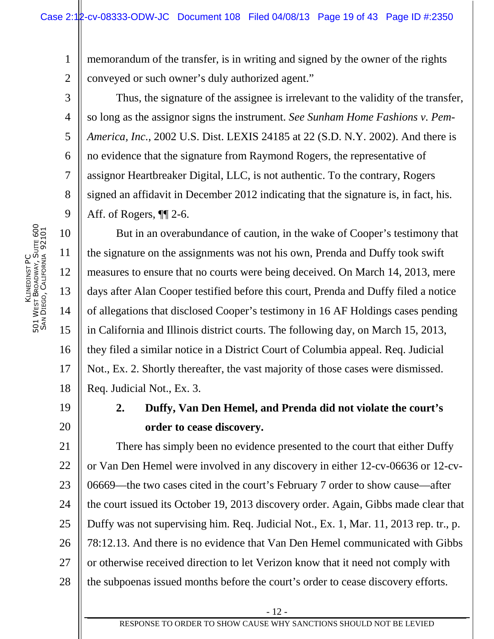1 2 memorandum of the transfer, is in writing and signed by the owner of the rights conveyed or such owner's duly authorized agent."

Thus, the signature of the assignee is irrelevant to the validity of the transfer, so long as the assignor signs the instrument. *See Sunham Home Fashions v. Pem-America, Inc.*, 2002 U.S. Dist. LEXIS 24185 at 22 (S.D. N.Y. 2002). And there is no evidence that the signature from Raymond Rogers, the representative of assignor Heartbreaker Digital, LLC, is not authentic. To the contrary, Rogers signed an affidavit in December 2012 indicating that the signature is, in fact, his. Aff. of Rogers, ¶¶ 2-6.

But in an overabundance of caution, in the wake of Cooper's testimony that the signature on the assignments was not his own, Prenda and Duffy took swift measures to ensure that no courts were being deceived. On March 14, 2013, mere days after Alan Cooper testified before this court, Prenda and Duffy filed a notice of allegations that disclosed Cooper's testimony in 16 AF Holdings cases pending in California and Illinois district courts. The following day, on March 15, 2013, they filed a similar notice in a District Court of Columbia appeal. Req. Judicial Not., Ex. 2. Shortly thereafter, the vast majority of those cases were dismissed. Req. Judicial Not., Ex. 3.

19

3

4

5

6

7

8

9

10

11

12

13

14

15

16

17

18

20

## **2. Duffy, Van Den Hemel, and Prenda did not violate the court's order to cease discovery.**

21 22 23 24 25 26 27 28 There has simply been no evidence presented to the court that either Duffy or Van Den Hemel were involved in any discovery in either 12-cv-06636 or 12-cv-06669—the two cases cited in the court's February 7 order to show cause—after the court issued its October 19, 2013 discovery order. Again, Gibbs made clear that Duffy was not supervising him. Req. Judicial Not., Ex. 1, Mar. 11, 2013 rep. tr., p. 78:12.13. And there is no evidence that Van Den Hemel communicated with Gibbs or otherwise received direction to let Verizon know that it need not comply with the subpoenas issued months before the court's order to cease discovery efforts.

- 12 -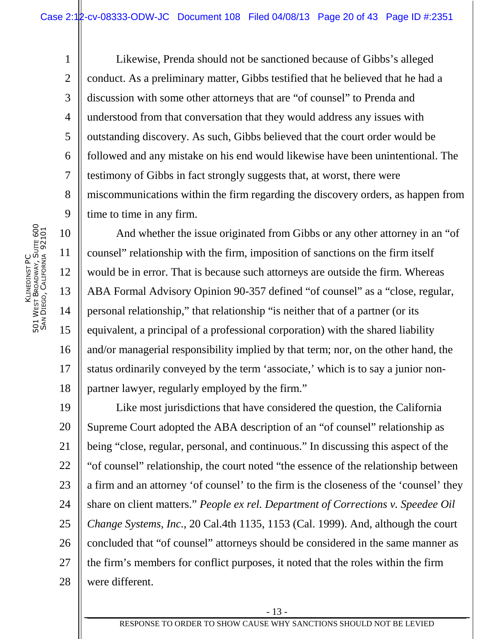Likewise, Prenda should not be sanctioned because of Gibbs's alleged conduct. As a preliminary matter, Gibbs testified that he believed that he had a discussion with some other attorneys that are "of counsel" to Prenda and understood from that conversation that they would address any issues with outstanding discovery. As such, Gibbs believed that the court order would be followed and any mistake on his end would likewise have been unintentional. The testimony of Gibbs in fact strongly suggests that, at worst, there were miscommunications within the firm regarding the discovery orders, as happen from time to time in any firm.

And whether the issue originated from Gibbs or any other attorney in an "of counsel" relationship with the firm, imposition of sanctions on the firm itself would be in error. That is because such attorneys are outside the firm. Whereas ABA Formal Advisory Opinion 90-357 defined "of counsel" as a "close, regular, personal relationship," that relationship "is neither that of a partner (or its equivalent, a principal of a professional corporation) with the shared liability and/or managerial responsibility implied by that term; nor, on the other hand, the status ordinarily conveyed by the term 'associate,' which is to say a junior nonpartner lawyer, regularly employed by the firm."

19 20 21 22 23 24 25 26 27 28 Like most jurisdictions that have considered the question, the California Supreme Court adopted the ABA description of an "of counsel" relationship as being "close, regular, personal, and continuous." In discussing this aspect of the "of counsel" relationship, the court noted "the essence of the relationship between a firm and an attorney 'of counsel' to the firm is the closeness of the 'counsel' they share on client matters." *People ex rel. Department of Corrections v. Speedee Oil Change Systems, Inc.*, 20 Cal.4th 1135, 1153 (Cal. 1999). And, although the court concluded that "of counsel" attorneys should be considered in the same manner as the firm's members for conflict purposes, it noted that the roles within the firm were different.

1

2

3

4

5

6

7

8

9

10

11

12

13

14

15

16

17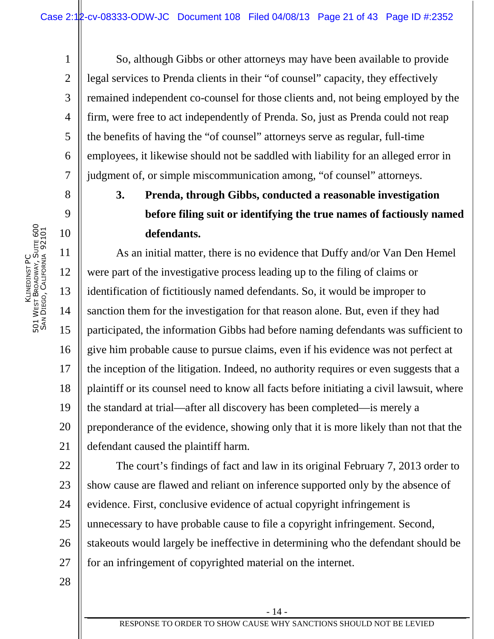So, although Gibbs or other attorneys may have been available to provide legal services to Prenda clients in their "of counsel" capacity, they effectively remained independent co-counsel for those clients and, not being employed by the firm, were free to act independently of Prenda. So, just as Prenda could not reap the benefits of having the "of counsel" attorneys serve as regular, full-time employees, it likewise should not be saddled with liability for an alleged error in judgment of, or simple miscommunication among, "of counsel" attorneys.

# **3. Prenda, through Gibbs, conducted a reasonable investigation before filing suit or identifying the true names of factiously named defendants.**

11 12 13 14 15 16 17 18 19 20 21 As an initial matter, there is no evidence that Duffy and/or Van Den Hemel were part of the investigative process leading up to the filing of claims or identification of fictitiously named defendants. So, it would be improper to sanction them for the investigation for that reason alone. But, even if they had participated, the information Gibbs had before naming defendants was sufficient to give him probable cause to pursue claims, even if his evidence was not perfect at the inception of the litigation. Indeed, no authority requires or even suggests that a plaintiff or its counsel need to know all facts before initiating a civil lawsuit, where the standard at trial—after all discovery has been completed—is merely a preponderance of the evidence, showing only that it is more likely than not that the defendant caused the plaintiff harm.

22 23 24 25 26 27 The court's findings of fact and law in its original February 7, 2013 order to show cause are flawed and reliant on inference supported only by the absence of evidence. First, conclusive evidence of actual copyright infringement is unnecessary to have probable cause to file a copyright infringement. Second, stakeouts would largely be ineffective in determining who the defendant should be for an infringement of copyrighted material on the internet.

28

- 14 -

1

2

3

4

5

6

7

8

9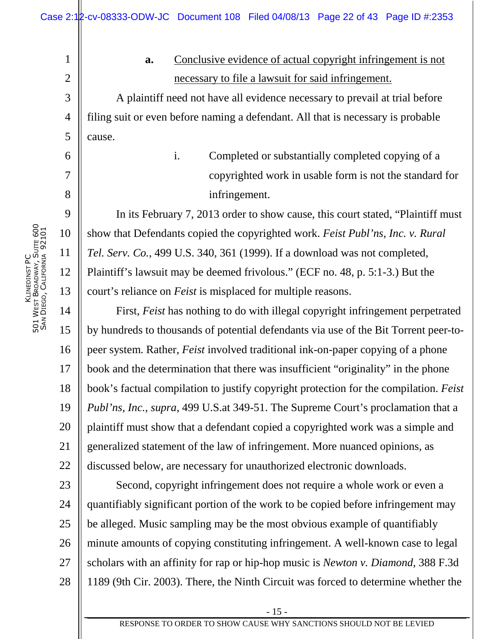KLINEDINST PC 5<br>5<br>5 W<sub>EST</sub> BROADWAY, SUITE 600 SAN DIEGO, CALIFORNIA 92101 1

2

3

4

5

6

7

8

9

10

11

12

13

## **a.** Conclusive evidence of actual copyright infringement is not necessary to file a lawsuit for said infringement.

A plaintiff need not have all evidence necessary to prevail at trial before filing suit or even before naming a defendant. All that is necessary is probable cause.

> i. Completed or substantially completed copying of a copyrighted work in usable form is not the standard for infringement.

In its February 7, 2013 order to show cause, this court stated, "Plaintiff must show that Defendants copied the copyrighted work. *Feist Publ'ns, Inc. v. Rural Tel. Serv. Co.*, 499 U.S. 340, 361 (1999). If a download was not completed, Plaintiff's lawsuit may be deemed frivolous." (ECF no. 48, p. 5:1-3.) But the court's reliance on *Feist* is misplaced for multiple reasons.

14 15 16 17 18 19 20 21 22 First, *Feist* has nothing to do with illegal copyright infringement perpetrated by hundreds to thousands of potential defendants via use of the Bit Torrent peer-topeer system. Rather, *Feist* involved traditional ink-on-paper copying of a phone book and the determination that there was insufficient "originality" in the phone book's factual compilation to justify copyright protection for the compilation. *Feist Publ'ns, Inc.*, *supra*, 499 U.S.at 349-51. The Supreme Court's proclamation that a plaintiff must show that a defendant copied a copyrighted work was a simple and generalized statement of the law of infringement. More nuanced opinions, as discussed below, are necessary for unauthorized electronic downloads.

23 24 25 26 27 28 Second, copyright infringement does not require a whole work or even a quantifiably significant portion of the work to be copied before infringement may be alleged. Music sampling may be the most obvious example of quantifiably minute amounts of copying constituting infringement. A well-known case to legal scholars with an affinity for rap or hip-hop music is *Newton v. Diamond*, 388 F.3d 1189 (9th Cir. 2003). There, the Ninth Circuit was forced to determine whether the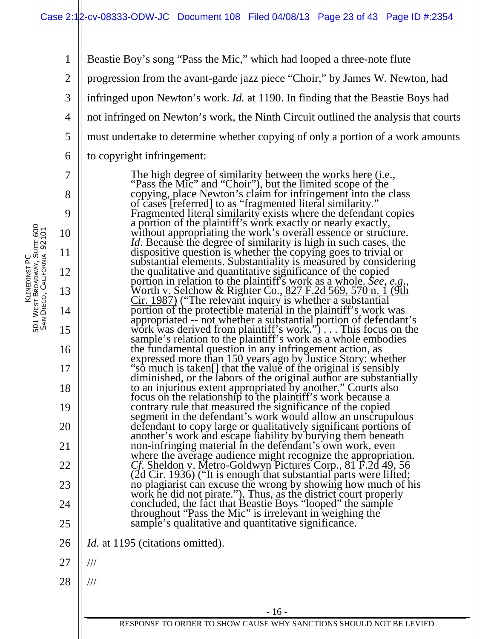1 2 Beastie Boy's song "Pass the Mic," which had looped a three-note flute progression from the avant-garde jazz piece "Choir," by James W. Newton, had

3 infringed upon Newton's work. *Id.* at 1190. In finding that the Beastie Boys had

4 not infringed on Newton's work, the Ninth Circuit outlined the analysis that courts

5 must undertake to determine whether copying of only a portion of a work amounts

to copyright infringement:

The high degree of similarity between the works here (i.e., "Pass the Mic" and "Choir"), but the limited scope of the copying, place Newton's claim for infringement into the class of cases [referred] to as "fragmented literal similarity." Fragmented literal similarity exists where the defendant copies a portion of the plaintiff's work exactly or nearly exactly, without appropriating the work's overall essence or structure. *Id*. Because the degree of similarity is high in such cases, the dispositive question is whether the copying goes to trivial or substantial elements. Substantiality is measured by considering the qualitative and quantitative significance of the copied portion in relation to the plaintiff's work as a whole. *See, e.g*., Worth v. Selchow & Righter Co., 827 F.2d 569, 570 n. 1 (9th Cir. 1987) ("The relevant inquiry is whether a substantial portion of the protectible material in the plaintiff's work was appropriated -- not whether a substantial portion of defendant's work was derived from plaintiff's work.") . . . This focus on the sample's relation to the plaintiff's work as a whole embodies the fundamental question in any infringement action, as expressed more than 150 years ago by Justice Story: whether "so much is taken[] that the value of the original is sensibly diminished, or the labors of the original author are substantially to an injurious extent appropriated by another." Courts also focus on the relationship to the plaintiff's work because a contrary rule that measured the significance of the copied segment in the defendant's work would allow an unscrupulous defendant to copy large or qualitatively significant portions of another's work and escape liability by burying them beneath non-infringing material in the defendant's own work, even where the average audience might recognize the appropriation. *Cf*. Sheldon v. Metro-Goldwyn Pictures Corp., 81 F.2d 49, 56 (2d Cir. 1936) ("It is enough that substantial parts were lifted; no plagiarist can excuse the wrong by showing how much of his work he did not pirate."). Thus, as the district court properly concluded, the fact that Beastie Boys "looped" the sample throughout "Pass the Mic" is irrelevant in weighing the sample's qualitative and quantitative significance.

26 *Id.* at 1195 (citations omitted).

27 ///

28 ///

6

7

8

9

10

11

12

13

14

15

16

17

18

19

20

21

22

23

24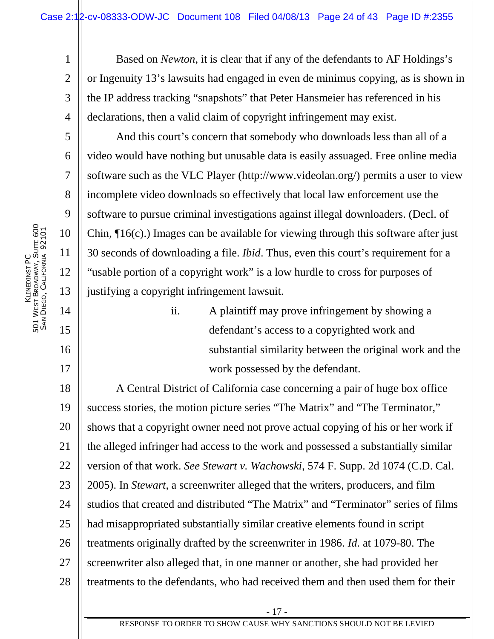2 3 4 Based on *Newton*, it is clear that if any of the defendants to AF Holdings's or Ingenuity 13's lawsuits had engaged in even de minimus copying, as is shown in the IP address tracking "snapshots" that Peter Hansmeier has referenced in his declarations, then a valid claim of copyright infringement may exist.

And this court's concern that somebody who downloads less than all of a video would have nothing but unusable data is easily assuaged. Free online media software such as the VLC Player (http://www.videolan.org/) permits a user to view incomplete video downloads so effectively that local law enforcement use the software to pursue criminal investigations against illegal downloaders. (Decl. of Chin, ¶16(c).) Images can be available for viewing through this software after just 30 seconds of downloading a file. *Ibid*. Thus, even this court's requirement for a "usable portion of a copyright work" is a low hurdle to cross for purposes of justifying a copyright infringement lawsuit.

> ii. A plaintiff may prove infringement by showing a defendant's access to a copyrighted work and substantial similarity between the original work and the work possessed by the defendant.

18 19 20 21 22 23 24 25 26 27 28 A Central District of California case concerning a pair of huge box office success stories, the motion picture series "The Matrix" and "The Terminator," shows that a copyright owner need not prove actual copying of his or her work if the alleged infringer had access to the work and possessed a substantially similar version of that work. *See Stewart v. Wachowski*, 574 F. Supp. 2d 1074 (C.D. Cal. 2005). In *Stewart*, a screenwriter alleged that the writers, producers, and film studios that created and distributed "The Matrix" and "Terminator" series of films had misappropriated substantially similar creative elements found in script treatments originally drafted by the screenwriter in 1986. *Id.* at 1079-80. The screenwriter also alleged that, in one manner or another, she had provided her treatments to the defendants, who had received them and then used them for their

1

5

6

7

8

9

10

11

12

13

14

15

16

17

- 17 -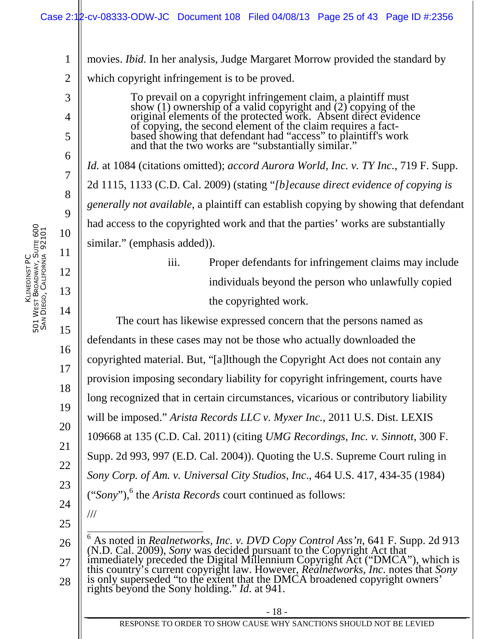movies. *Ibid.* In her analysis, Judge Margaret Morrow provided the standard by

which copyright infringement is to be proved.

To prevail on a copyright infringement claim, a plaintiff must show (1) ownership of a valid copyright and  $(2)$  copying of the original elements of the protected work. Absent direct evidence of copying, the second element of the claim requires a factbased showing that defendant had "access" to plaintiff's work and that the two works are "substantially similar."

*Id.* at 1084 (citations omitted); *accord Aurora World, Inc. v. TY Inc.*, 719 F. Supp. 2d 1115, 1133 (C.D. Cal. 2009) (stating "*[b]ecause direct evidence of copying is generally not available*, a plaintiff can establish copying by showing that defendant had access to the copyrighted work and that the parties' works are substantially similar." (emphasis added)).

> iii. Proper defendants for infringement claims may include individuals beyond the person who unlawfully copied the copyrighted work.

The court has likewise expressed concern that the persons named as defendants in these cases may not be those who actually downloaded the copyrighted material. But, "[a]lthough the Copyright Act does not contain any provision imposing secondary liability for copyright infringement, courts have long recognized that in certain circumstances, vicarious or contributory liability will be imposed." *Arista Records LLC v. Myxer Inc.*, 2011 U.S. Dist. LEXIS 109668 at 135 (C.D. Cal. 2011) (citing *UMG Recordings, Inc. v. Sinnott*, 300 F. Supp. 2d 993, 997 (E.D. Cal. 2004)). Quoting the U.S. Supreme Court ruling in *Sony Corp. of Am. v. Universal City Studios, Inc*., 464 U.S. 417, 434-35 (1984) ("Sony"),<sup>6</sup> the *Arista Records* court continued as follows: ///

25

26 27 28 <sup>6</sup> As noted in *Realnetworks, Inc. v. DVD Copy Control Ass'n*, 641 F. Supp. 2d 913 (N.D. Cal. 2009), *Sony* was decided pursuant to the Copyright Act that immediately preceded the Digital Millennium Copyright Act ("DMCA"), which is this country's current copyright law. However, *Realnetworks, Inc.* notes that *Sony*  is only superseded "to the extent that the DMCA broadened copyright owners' rights beyond the Sony holding." *Id.* at 941.

1

2

3

4

5

6

7

8

9

10

11

12

13

14

15

16

17

18

19

20

21

22

23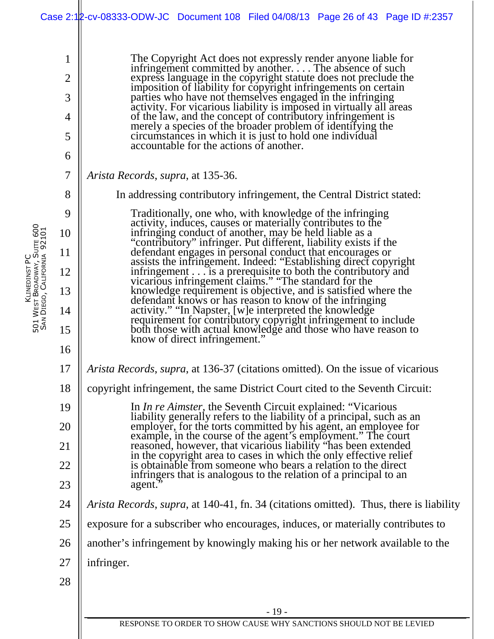|                             |                                         | Case 2:12-cv-08333-ODW-JC Document 108 Filed 04/08/13 Page 26 of 43 Page ID #:2357                                                                                                                                                         |
|-----------------------------|-----------------------------------------|--------------------------------------------------------------------------------------------------------------------------------------------------------------------------------------------------------------------------------------------|
|                             | 1<br>$\overline{2}$<br>3<br>4<br>5<br>6 | The Copyright Act does not expressly render anyone liable for<br>infringement committed by anotherThe absence of such<br>express language in the copyright statute does not preclude the<br>imposition of liability for copyright i        |
|                             | $\overline{7}$                          | <i>Arista Records, supra, at 135-36.</i>                                                                                                                                                                                                   |
|                             | 8                                       | In addressing contributory infringement, the Central District stated:                                                                                                                                                                      |
|                             | 9                                       | Traditionally, one who, with knowledge of the infringing                                                                                                                                                                                   |
|                             | 10                                      | activity, induces, causes or materially contributes to the<br>infringing conduct of another, may be held liable as a<br>"contributory" infringer. Put different, liability exists if the                                                   |
| SAN DIEGO, CALIFORNIA 92101 | 11                                      | defendant engages in personal conduct that encourages or<br>assists the infringement. Indeed: "Establishing direct copyright                                                                                                               |
|                             | 12                                      |                                                                                                                                                                                                                                            |
|                             | 13                                      |                                                                                                                                                                                                                                            |
|                             | 14<br>15                                | assists the immigement. Indeed. Establishing direct copyright<br>infringement is a prerequisite to both the contributory and<br>vicarious infringement claims." "The standard for the<br>knowledge requirement is objective, and           |
|                             | 16                                      |                                                                                                                                                                                                                                            |
|                             | 17                                      | <i>Arista Records, supra, at 136-37 (citations omitted). On the issue of vicarious</i>                                                                                                                                                     |
|                             | 18                                      | copyright infringement, the same District Court cited to the Seventh Circuit:                                                                                                                                                              |
|                             | 19                                      | In <i>In re Aimster</i> , the Seventh Circuit explained: "Vicarious"                                                                                                                                                                       |
|                             | 20                                      |                                                                                                                                                                                                                                            |
|                             | 21                                      | In <i>In re Almster</i> , the Seventh Cheth Captures.<br>liability generally refers to the liability of a principal, such as an<br>employer, for the torts committed by his agent, an employee for<br>example, in the course of the agent' |
|                             | 22                                      | in the copyright area to cases in which the only effective relief<br>is obtainable from someone who bears a relation to the direct<br>infringers that is analogous to the relation of a principal to an                                    |
|                             | 23                                      | agent.                                                                                                                                                                                                                                     |
|                             | 24                                      | <i>Arista Records, supra, at 140-41, fn. 34 (citations omitted). Thus, there is liability</i>                                                                                                                                              |
|                             | 25                                      | exposure for a subscriber who encourages, induces, or materially contributes to                                                                                                                                                            |
|                             | 26                                      | another's infringement by knowingly making his or her network available to the                                                                                                                                                             |
|                             | 27                                      | infringer.                                                                                                                                                                                                                                 |
|                             | 28                                      |                                                                                                                                                                                                                                            |
|                             |                                         | $-19-$                                                                                                                                                                                                                                     |
|                             |                                         | RESPONSE TO ORDER TO SHOW CAUSE WHY SANCTIONS SHOULD NOT BE LEVIED                                                                                                                                                                         |

KLINEDINST PC 5<br>5<br>5 W<sub>EST</sub> BROADWAY, SUITE 600 SAN DIEGO, CALIFORNIA 92101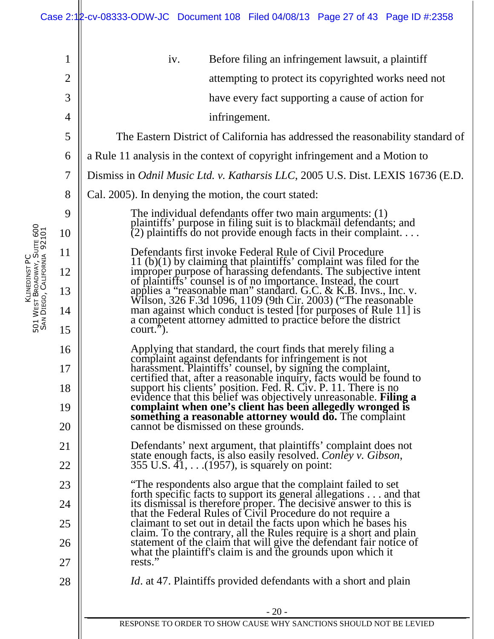| $\mathbf{1}$   | iv.<br>Before filing an infringement lawsuit, a plaintiff                                                                                                                                                                               |
|----------------|-----------------------------------------------------------------------------------------------------------------------------------------------------------------------------------------------------------------------------------------|
| $\overline{2}$ | attempting to protect its copyrighted works need not                                                                                                                                                                                    |
| 3              | have every fact supporting a cause of action for                                                                                                                                                                                        |
| 4              | infringement.                                                                                                                                                                                                                           |
| 5              | The Eastern District of California has addressed the reasonability standard of                                                                                                                                                          |
| 6              | a Rule 11 analysis in the context of copyright infringement and a Motion to                                                                                                                                                             |
| 7              | Dismiss in Odnil Music Ltd. v. Katharsis LLC, 2005 U.S. Dist. LEXIS 16736 (E.D.                                                                                                                                                         |
| 8              | Cal. 2005). In denying the motion, the court stated:                                                                                                                                                                                    |
| 9              | The individual defendants offer two main arguments: (1)<br>plaintiffs' purpose in filing suit is to blackmail defendants; and                                                                                                           |
| 10             | $(2)$ plaintiffs do not provide enough facts in their complaint                                                                                                                                                                         |
| 11             | Defendants first invoke Federal Rule of Civil Procedure                                                                                                                                                                                 |
| 12             | $11$ (b) $(1)$ by claiming that plaintiffs' complaint was filed for the improper purpose of harassing defendants. The subjective intent                                                                                                 |
| 13             | of plaintiffs' counsel is of no importance. Instead, the court applies a "reasonable man" standard. G.C. & K.B. Invs., Inc. v.<br>Wilson, 326 F.3d 1096, 1109 (9th Cir. 2003) ("The reasonable                                          |
| 14             | man against which conduct is tested [for purposes of Rule 11] is<br>a competent attorney admitted to practice before the district                                                                                                       |
| 15             | $court.$ ").                                                                                                                                                                                                                            |
| 16             | Applying that standard, the court finds that merely filing a                                                                                                                                                                            |
| 17             | Applying that standard, the court links that increty limit a<br>complaint against defendants for infringement is not<br>harassment. Plaintiffs' counsel, by signing the complaint,<br>certified that, after a reasonable inquiry, facts |
| 18             |                                                                                                                                                                                                                                         |
| 19             | something a reasonable attorney would do. The complaint                                                                                                                                                                                 |
| 20             | cannot be dismissed on these grounds.                                                                                                                                                                                                   |
| 21             | Detendants' next argument, that plaintiffs' complaint does not<br>state enough facts, is also easily resolved. Conley v. Gibson,                                                                                                        |
| 22             | 355 U.S. 41, (1957), is squarely on point:                                                                                                                                                                                              |
| 23             | "The respondents also argue that the complaint failed to set<br>forth specific facts to support its general allegations and that                                                                                                        |
| 24             | its dismissal is therefore proper. The decisive answer to this is<br>that the Federal Rules of Civil Procedure do not require a                                                                                                         |
| 25             | claimant to set out in detail the facts upon which he bases his<br>claim. To the contrary, all the Rules require is a short and plain                                                                                                   |
| 26             | statement of the claim that will give the defendant fair notice of<br>what the plaintiff's claim is and the grounds upon which it                                                                                                       |
| 27             | rests."                                                                                                                                                                                                                                 |
| 28             | <i>Id.</i> at 47. Plaintiffs provided defendants with a short and plain                                                                                                                                                                 |
|                | $-20-$                                                                                                                                                                                                                                  |
|                | RESPONSE TO ORDER TO SHOW CAUSE WHY SANCTIONS SHOULD NOT BE LEVIED                                                                                                                                                                      |
|                |                                                                                                                                                                                                                                         |

KLINEDINST PC

5<br>5<br>5

SAN

W<sub>EST</sub>

BROADWAY, SUITE 600

DIEGO, CALIFORNIA 92101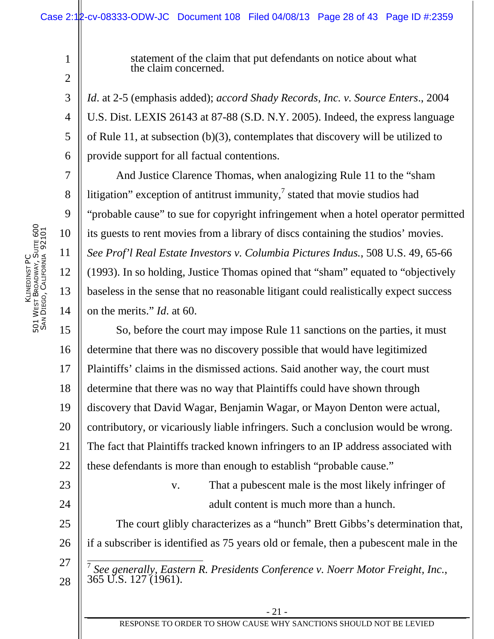statement of the claim that put defendants on notice about what the claim concerned.

*Id*. at 2-5 (emphasis added); *accord Shady Records, Inc. v. Source Enters*., 2004 U.S. Dist. LEXIS 26143 at 87-88 (S.D. N.Y. 2005). Indeed, the express language of Rule 11, at subsection (b)(3), contemplates that discovery will be utilized to provide support for all factual contentions.

And Justice Clarence Thomas, when analogizing Rule 11 to the "sham litigation" exception of antitrust immunity, $\frac{1}{2}$  stated that movie studios had "probable cause" to sue for copyright infringement when a hotel operator permitted its guests to rent movies from a library of discs containing the studios' movies. *See Prof'l Real Estate Investors v. Columbia Pictures Indus.*, 508 U.S. 49, 65-66 (1993). In so holding, Justice Thomas opined that "sham" equated to "objectively baseless in the sense that no reasonable litigant could realistically expect success on the merits." *Id*. at 60.

15 16 17 18 19 20 21 22 So, before the court may impose Rule 11 sanctions on the parties, it must determine that there was no discovery possible that would have legitimized Plaintiffs' claims in the dismissed actions. Said another way, the court must determine that there was no way that Plaintiffs could have shown through discovery that David Wagar, Benjamin Wagar, or Mayon Denton were actual, contributory, or vicariously liable infringers. Such a conclusion would be wrong. The fact that Plaintiffs tracked known infringers to an IP address associated with these defendants is more than enough to establish "probable cause."

> v. That a pubescent male is the most likely infringer of adult content is much more than a hunch.

25 26 The court glibly characterizes as a "hunch" Brett Gibbs's determination that, if a subscriber is identified as 75 years old or female, then a pubescent male in the  $\overline{7}$ 

*See generally, Eastern R. Presidents Conference v. Noerr Motor Freight, Inc.*, 365 U.S. 127 (1961).

1

2

3

4

5

6

7

8

9

10

11

12

13

14

23

24

27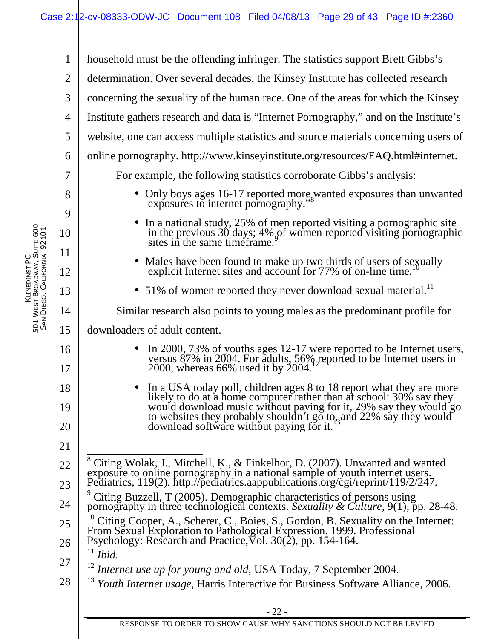- 22 - 1 2 3 4 5 6 7 8 9 10 11 12 13 14 15 16 17 18 19 20 21 22 23 24 25 26 27 28 household must be the offending infringer. The statistics support Brett Gibbs's determination. Over several decades, the Kinsey Institute has collected research concerning the sexuality of the human race. One of the areas for which the Kinsey Institute gathers research and data is "Internet Pornography," and on the Institute's website, one can access multiple statistics and source materials concerning users of online pornography. http://www.kinseyinstitute.org/resources/FAQ.html#internet. For example, the following statistics corroborate Gibbs's analysis: • Only boys ages 16-17 reported more wanted exposures than unwanted exposures to internet pornography.' • In a national study, 25% of men reported visiting a pornographic site in the previous 30 days; 4% of women reported visiting pornographic  $\frac{36}{9}$  sites in the same timeframe.<sup>9</sup> • Males have been found to make up two thirds of users of sexually explicit Internet sites and account for 77% of on-line time. • 51% of women reported they never download sexual material.<sup>11</sup> Similar research also points to young males as the predominant profile for downloaders of adult content. • In 2000, 73% of youths ages 12-17 were reported to be Internet users, versus 87% in 2004. For adults, 56% reported to be Internet users in  $2000$ , whereas 66% used it by 2004.<sup>12</sup> • In a USA today poll, children ages 8 to 18 report what they are more likely to do at a home computer rather than at school: 30% say they would download music without paying for it, 29% say they would go to websites they probably shouldn't go to<sub>r</sub>, and 22% say they would download software without paying for it.<sup>13</sup> 8 Citing Wolak, J., Mitchell, K., & Finkelhor, D. (2007). Unwanted and wanted exposure to online pornography in a national sample of youth internet users. Pediatrics, 119(2). http://pediatrics.aappublications.org/cgi/reprint/119/2/247. 9 Citing Buzzell, T (2005). Demographic characteristics of persons using pornography in three technological contexts. *Sexuality & Culture*, 9(1), pp. 28-48.  $\frac{10}{10}$  Citing Cooper, A., Scherer, C., Boies, S., Gordon, B. Sexuality on the Internet: From Sexual Exploration to Pathological Expression. 1999. Professional Psychology: Research and Practice,  $\sqrt{6}$ . 30(2), pp. 154-164. <sup>11</sup> *Ibid.* <sup>12</sup> Internet use up for young and old, USA Today, 7 September 2004. <sup>13</sup> *Youth Internet usage,* Harris Interactive for Business Software Alliance, 2006.

RESPONSE TO ORDER TO SHOW CAUSE WHY SANCTIONS SHOULD NOT BE LEVIED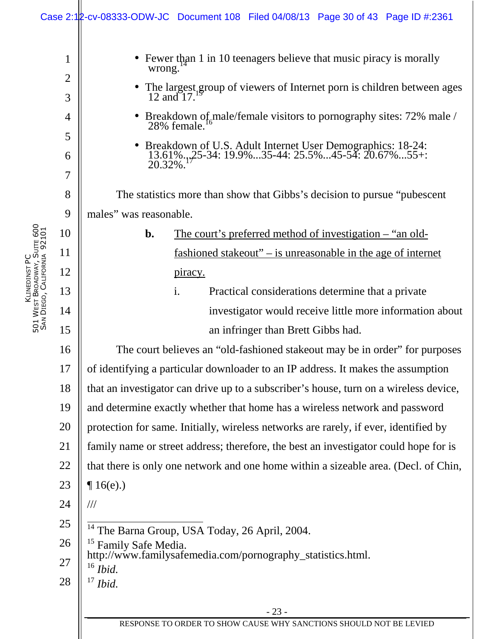|                             |                                                                                                                                                                                     | Case 2:12-cv-08333-ODW-JC Document 108 Filed 04/08/13 Page 30 of 43 Page ID #:2361                                                                                                                                                                                                                                                                                                                                                                                                                                                                                                                                                                                                                                                                                                                                                                                                                                                                                                                                                                                                                                                                                                                                                                                                                                                                                                                                                                                                                                                                                                                                                                       |
|-----------------------------|-------------------------------------------------------------------------------------------------------------------------------------------------------------------------------------|----------------------------------------------------------------------------------------------------------------------------------------------------------------------------------------------------------------------------------------------------------------------------------------------------------------------------------------------------------------------------------------------------------------------------------------------------------------------------------------------------------------------------------------------------------------------------------------------------------------------------------------------------------------------------------------------------------------------------------------------------------------------------------------------------------------------------------------------------------------------------------------------------------------------------------------------------------------------------------------------------------------------------------------------------------------------------------------------------------------------------------------------------------------------------------------------------------------------------------------------------------------------------------------------------------------------------------------------------------------------------------------------------------------------------------------------------------------------------------------------------------------------------------------------------------------------------------------------------------------------------------------------------------|
| SAN DIEGO, CALIFORNIA 92101 | $\mathbf{1}$<br>$\overline{2}$<br>3<br>4<br>5<br>6<br>7<br>8<br>9<br>10<br>11<br>12<br>13<br>14<br>15<br>16<br>17<br>18<br>19<br>20<br>21<br>22<br>23<br>24<br>25<br>26<br>27<br>28 | Fewer than 1 in 10 teenagers believe that music piracy is morally<br>wrong.<br>The largest group of viewers of Internet porn is children between ages<br>$12$ and $17$ .<br>Breakdown of male/female visitors to pornography sites: 72% male / 28% female.<br>Breakdown of U.S. Adult Internet User Demographics: 18-24:<br>13.61%.,25-34: 19.9%35-44: 25.5%45-54: 20.67%55+:<br>20.32%.<br>The statistics more than show that Gibbs's decision to pursue "pubescent"<br>males" was reasonable.<br>b.<br><u>The court's preferred method of investigation – "an old-</u><br><u>fashioned stakeout" – is unreasonable in the age of internet</u><br>piracy.<br>Practical considerations determine that a private<br>i.<br>investigator would receive little more information about<br>an infringer than Brett Gibbs had.<br>The court believes an "old-fashioned stake out may be in order" for purposes<br>of identifying a particular downloader to an IP address. It makes the assumption<br>that an investigator can drive up to a subscriber's house, turn on a wireless device,<br>and determine exactly whether that home has a wireless network and password<br>protection for same. Initially, wireless networks are rarely, if ever, identified by<br>family name or street address; therefore, the best an investigator could hope for is<br>that there is only one network and one home within a sizeable area. (Decl. of Chin,<br>$\P16(e)$ .)<br>///<br><sup>14</sup> The Barna Group, USA Today, 26 April, 2004.<br><sup>15</sup> Family Safe Media.<br>http://www.familysafemedia.com/pornography_statistics.html.<br>$16$ Ibid.<br>Ibid. |
|                             |                                                                                                                                                                                     | $-23-$                                                                                                                                                                                                                                                                                                                                                                                                                                                                                                                                                                                                                                                                                                                                                                                                                                                                                                                                                                                                                                                                                                                                                                                                                                                                                                                                                                                                                                                                                                                                                                                                                                                   |
|                             |                                                                                                                                                                                     | RESPONSE TO ORDER TO SHOW CAUSE WHY SANCTIONS SHOULD NOT BE LEVIED                                                                                                                                                                                                                                                                                                                                                                                                                                                                                                                                                                                                                                                                                                                                                                                                                                                                                                                                                                                                                                                                                                                                                                                                                                                                                                                                                                                                                                                                                                                                                                                       |

KLINEDINST PC 5<br>5<br>5 W<sub>EST</sub> BROADWAY, SUITE 600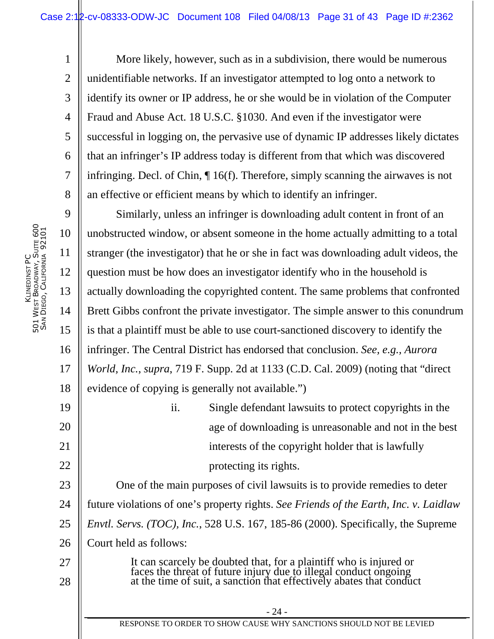More likely, however, such as in a subdivision, there would be numerous unidentifiable networks. If an investigator attempted to log onto a network to identify its owner or IP address, he or she would be in violation of the Computer Fraud and Abuse Act. 18 U.S.C. §1030. And even if the investigator were successful in logging on, the pervasive use of dynamic IP addresses likely dictates that an infringer's IP address today is different from that which was discovered infringing. Decl. of Chin, ¶ 16(f). Therefore, simply scanning the airwaves is not an effective or efficient means by which to identify an infringer.

18 Similarly, unless an infringer is downloading adult content in front of an unobstructed window, or absent someone in the home actually admitting to a total stranger (the investigator) that he or she in fact was downloading adult videos, the question must be how does an investigator identify who in the household is actually downloading the copyrighted content. The same problems that confronted Brett Gibbs confront the private investigator. The simple answer to this conundrum is that a plaintiff must be able to use court-sanctioned discovery to identify the infringer. The Central District has endorsed that conclusion. *See, e.g., Aurora World, Inc.*, *supra*, 719 F. Supp. 2d at 1133 (C.D. Cal. 2009) (noting that "direct evidence of copying is generally not available.")

ii. Single defendant lawsuits to protect copyrights in the age of downloading is unreasonable and not in the best interests of the copyright holder that is lawfully protecting its rights.

23 24 25 26 27 One of the main purposes of civil lawsuits is to provide remedies to deter future violations of one's property rights. *See Friends of the Earth, Inc. v. Laidlaw Envtl. Servs. (TOC), Inc.*, 528 U.S. 167, 185-86 (2000). Specifically, the Supreme Court held as follows:

It can scarcely be doubted that, for a plaintiff who is injured or faces the threat of future injury due to illegal conduct ongoing at the time of suit, a sanction that effectively abates that conduct

1

2

3

4

5

6

7

8

9

10

11

12

13

14

15

16

17

19

20

21

22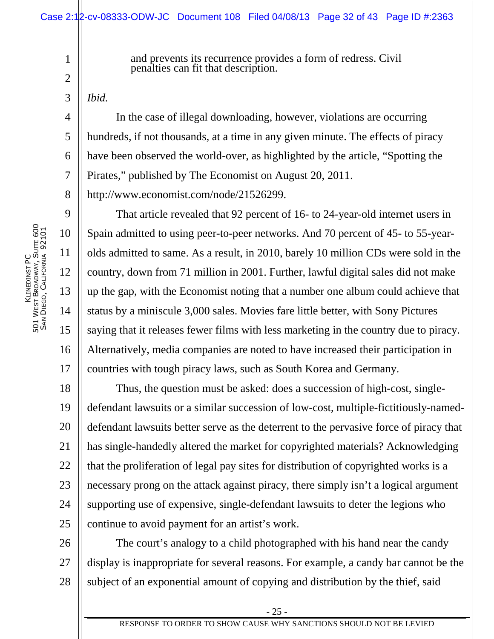and prevents its recurrence provides a form of redress. Civil penalties can fit that description.

*Ibid.*

1

2

3

4

5

6

7

8

9

10

11

12

13

14

15

16

17

In the case of illegal downloading, however, violations are occurring hundreds, if not thousands, at a time in any given minute. The effects of piracy have been observed the world-over, as highlighted by the article, "Spotting the Pirates," published by The Economist on August 20, 2011.

http://www.economist.com/node/21526299.

That article revealed that 92 percent of 16- to 24-year-old internet users in Spain admitted to using peer-to-peer networks. And 70 percent of 45- to 55-yearolds admitted to same. As a result, in 2010, barely 10 million CDs were sold in the country, down from 71 million in 2001. Further, lawful digital sales did not make up the gap, with the Economist noting that a number one album could achieve that status by a miniscule 3,000 sales. Movies fare little better, with Sony Pictures saying that it releases fewer films with less marketing in the country due to piracy. Alternatively, media companies are noted to have increased their participation in countries with tough piracy laws, such as South Korea and Germany.

18 19 20 21 22 23 24 25 Thus, the question must be asked: does a succession of high-cost, singledefendant lawsuits or a similar succession of low-cost, multiple-fictitiously-nameddefendant lawsuits better serve as the deterrent to the pervasive force of piracy that has single-handedly altered the market for copyrighted materials? Acknowledging that the proliferation of legal pay sites for distribution of copyrighted works is a necessary prong on the attack against piracy, there simply isn't a logical argument supporting use of expensive, single-defendant lawsuits to deter the legions who continue to avoid payment for an artist's work.

26 27 28 The court's analogy to a child photographed with his hand near the candy display is inappropriate for several reasons. For example, a candy bar cannot be the subject of an exponential amount of copying and distribution by the thief, said

- 25 -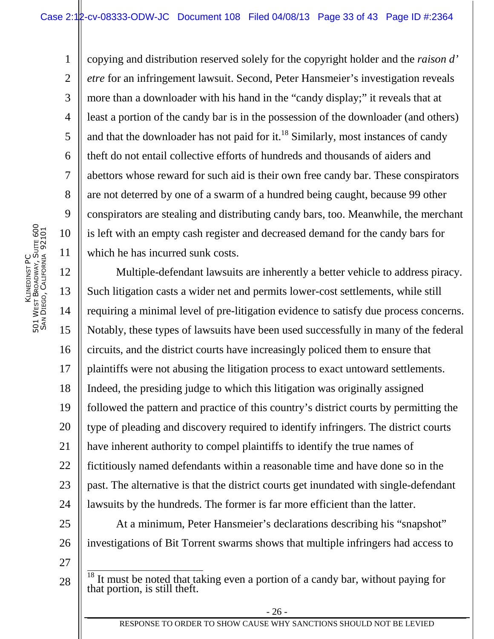copying and distribution reserved solely for the copyright holder and the *raison d' etre* for an infringement lawsuit. Second, Peter Hansmeier's investigation reveals more than a downloader with his hand in the "candy display;" it reveals that at least a portion of the candy bar is in the possession of the downloader (and others) and that the downloader has not paid for it.<sup>18</sup> Similarly, most instances of candy theft do not entail collective efforts of hundreds and thousands of aiders and abettors whose reward for such aid is their own free candy bar. These conspirators are not deterred by one of a swarm of a hundred being caught, because 99 other conspirators are stealing and distributing candy bars, too. Meanwhile, the merchant is left with an empty cash register and decreased demand for the candy bars for which he has incurred sunk costs.

12 13 14 15 16 17 18 19 20 21 22 23 24 Multiple-defendant lawsuits are inherently a better vehicle to address piracy. Such litigation casts a wider net and permits lower-cost settlements, while still requiring a minimal level of pre-litigation evidence to satisfy due process concerns. Notably, these types of lawsuits have been used successfully in many of the federal circuits, and the district courts have increasingly policed them to ensure that plaintiffs were not abusing the litigation process to exact untoward settlements. Indeed, the presiding judge to which this litigation was originally assigned followed the pattern and practice of this country's district courts by permitting the type of pleading and discovery required to identify infringers. The district courts have inherent authority to compel plaintiffs to identify the true names of fictitiously named defendants within a reasonable time and have done so in the past. The alternative is that the district courts get inundated with single-defendant lawsuits by the hundreds. The former is far more efficient than the latter.

25 26 At a minimum, Peter Hansmeier's declarations describing his "snapshot" investigations of Bit Torrent swarms shows that multiple infringers had access to

27

28

1

2

3

4

5

6

7

8

9

10

 $\frac{18}{18}$  It must be noted that taking even a portion of a candy bar, without paying for that portion, is still theft.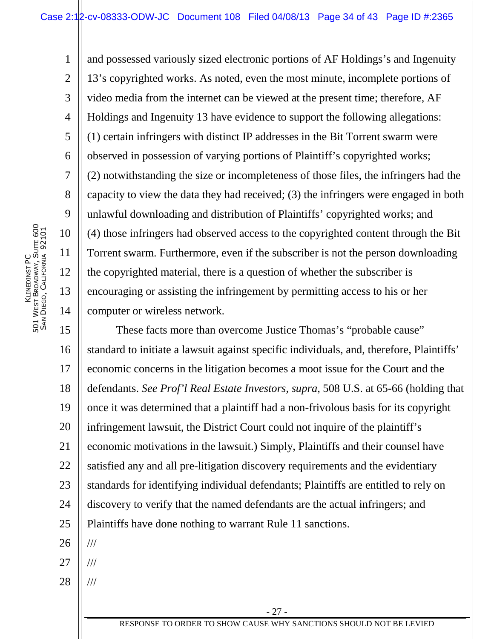and possessed variously sized electronic portions of AF Holdings's and Ingenuity 13's copyrighted works. As noted, even the most minute, incomplete portions of video media from the internet can be viewed at the present time; therefore, AF Holdings and Ingenuity 13 have evidence to support the following allegations: (1) certain infringers with distinct IP addresses in the Bit Torrent swarm were observed in possession of varying portions of Plaintiff's copyrighted works; (2) notwithstanding the size or incompleteness of those files, the infringers had the capacity to view the data they had received; (3) the infringers were engaged in both unlawful downloading and distribution of Plaintiffs' copyrighted works; and (4) those infringers had observed access to the copyrighted content through the Bit Torrent swarm. Furthermore, even if the subscriber is not the person downloading the copyrighted material, there is a question of whether the subscriber is encouraging or assisting the infringement by permitting access to his or her computer or wireless network.

15 16 17 18 19 20 21 22 23 24 25 26 These facts more than overcome Justice Thomas's "probable cause" standard to initiate a lawsuit against specific individuals, and, therefore, Plaintiffs' economic concerns in the litigation becomes a moot issue for the Court and the defendants. *See Prof'l Real Estate Investors*, *supra,* 508 U.S. at 65-66 (holding that once it was determined that a plaintiff had a non-frivolous basis for its copyright infringement lawsuit, the District Court could not inquire of the plaintiff's economic motivations in the lawsuit.) Simply, Plaintiffs and their counsel have satisfied any and all pre-litigation discovery requirements and the evidentiary standards for identifying individual defendants; Plaintiffs are entitled to rely on discovery to verify that the named defendants are the actual infringers; and Plaintiffs have done nothing to warrant Rule 11 sanctions. ///

- 27 ///
- 28 ///

1

2

3

4

5

6

7

8

9

10

11

12

13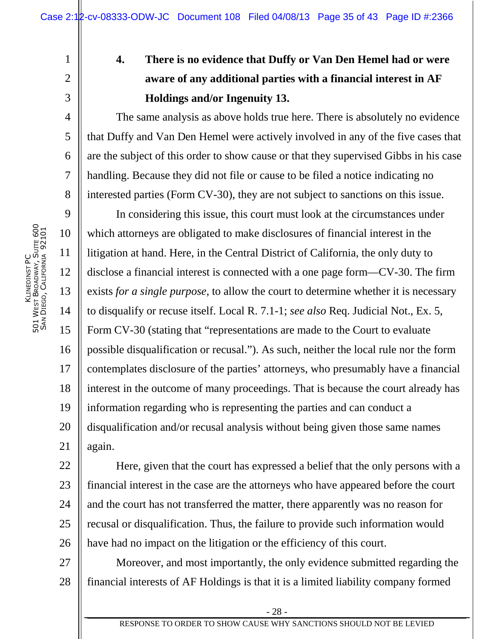# **4. There is no evidence that Duffy or Van Den Hemel had or were aware of any additional parties with a financial interest in AF Holdings and/or Ingenuity 13.**

The same analysis as above holds true here. There is absolutely no evidence that Duffy and Van Den Hemel were actively involved in any of the five cases that are the subject of this order to show cause or that they supervised Gibbs in his case handling. Because they did not file or cause to be filed a notice indicating no interested parties (Form CV-30), they are not subject to sanctions on this issue.

9 10 11 12 13 14 15 16 17 18 19 20 21 In considering this issue, this court must look at the circumstances under which attorneys are obligated to make disclosures of financial interest in the litigation at hand. Here, in the Central District of California, the only duty to disclose a financial interest is connected with a one page form—CV-30. The firm exists *for a single purpose*, to allow the court to determine whether it is necessary to disqualify or recuse itself. Local R. 7.1-1; *see also* Req. Judicial Not., Ex. 5, Form CV-30 (stating that "representations are made to the Court to evaluate possible disqualification or recusal."). As such, neither the local rule nor the form contemplates disclosure of the parties' attorneys, who presumably have a financial interest in the outcome of many proceedings. That is because the court already has information regarding who is representing the parties and can conduct a disqualification and/or recusal analysis without being given those same names again.

22 23 24 25 26 Here, given that the court has expressed a belief that the only persons with a financial interest in the case are the attorneys who have appeared before the court and the court has not transferred the matter, there apparently was no reason for recusal or disqualification. Thus, the failure to provide such information would have had no impact on the litigation or the efficiency of this court.

27 28 Moreover, and most importantly, the only evidence submitted regarding the financial interests of AF Holdings is that it is a limited liability company formed

1

2

3

4

5

6

7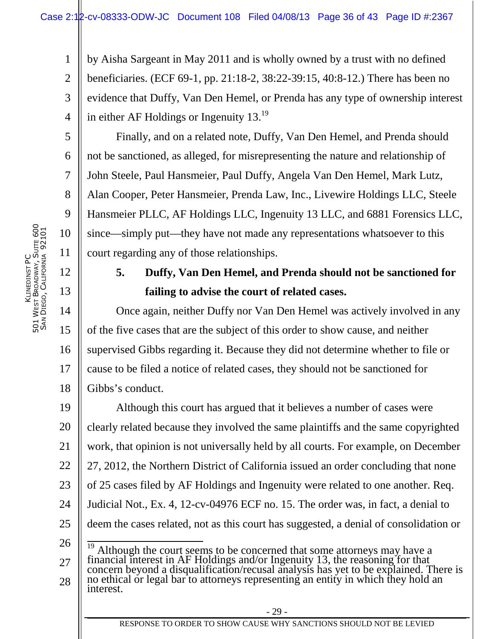1 2 3 4 by Aisha Sargeant in May 2011 and is wholly owned by a trust with no defined beneficiaries. (ECF 69-1, pp. 21:18-2, 38:22-39:15, 40:8-12.) There has been no evidence that Duffy, Van Den Hemel, or Prenda has any type of ownership interest in either AF Holdings or Ingenuity 13.<sup>19</sup>

Finally, and on a related note, Duffy, Van Den Hemel, and Prenda should not be sanctioned, as alleged, for misrepresenting the nature and relationship of John Steele, Paul Hansmeier, Paul Duffy, Angela Van Den Hemel, Mark Lutz, Alan Cooper, Peter Hansmeier, Prenda Law, Inc., Livewire Holdings LLC, Steele Hansmeier PLLC, AF Holdings LLC, Ingenuity 13 LLC, and 6881 Forensics LLC, since—simply put—they have not made any representations whatsoever to this court regarding any of those relationships.

# **5. Duffy, Van Den Hemel, and Prenda should not be sanctioned for failing to advise the court of related cases.**

14 15 16 17 18 Once again, neither Duffy nor Van Den Hemel was actively involved in any of the five cases that are the subject of this order to show cause, and neither supervised Gibbs regarding it. Because they did not determine whether to file or cause to be filed a notice of related cases, they should not be sanctioned for Gibbs's conduct.

19 20 21 22 23 24 25 Although this court has argued that it believes a number of cases were clearly related because they involved the same plaintiffs and the same copyrighted work, that opinion is not universally held by all courts. For example, on December 27, 2012, the Northern District of California issued an order concluding that none of 25 cases filed by AF Holdings and Ingenuity were related to one another. Req. Judicial Not., Ex. 4, 12-cv-04976 ECF no. 15. The order was, in fact, a denial to deem the cases related, not as this court has suggested, a denial of consolidation or

26 27  $\frac{19}{19}$  Although the court seems to be concerned that some attorneys may have a financial interest in AF Holdings and/or Ingenuity 13, the reasoning for that concern beyond a disqualification/recusal analysis has yet to be explained. There is

28 no ethical or legal bar to attorneys representing an entity in which they hold an interest.

5

6

7

8

9

10

11

12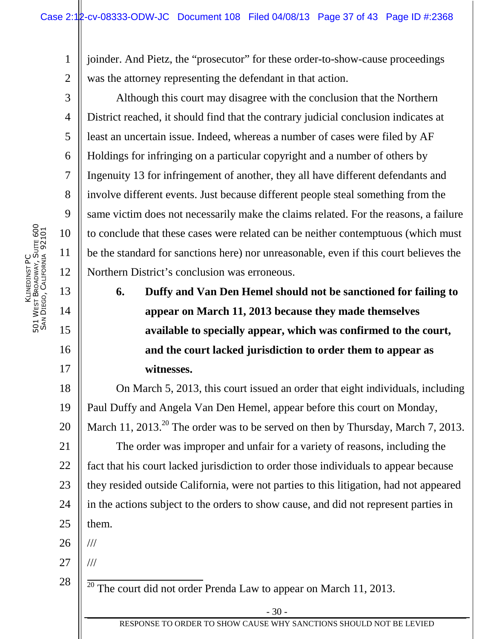1 2 joinder. And Pietz, the "prosecutor" for these order-to-show-cause proceedings was the attorney representing the defendant in that action.

Although this court may disagree with the conclusion that the Northern District reached, it should find that the contrary judicial conclusion indicates at least an uncertain issue. Indeed, whereas a number of cases were filed by AF Holdings for infringing on a particular copyright and a number of others by Ingenuity 13 for infringement of another, they all have different defendants and involve different events. Just because different people steal something from the same victim does not necessarily make the claims related. For the reasons, a failure to conclude that these cases were related can be neither contemptuous (which must be the standard for sanctions here) nor unreasonable, even if this court believes the Northern District's conclusion was erroneous.

**6. Duffy and Van Den Hemel should not be sanctioned for failing to appear on March 11, 2013 because they made themselves available to specially appear, which was confirmed to the court, and the court lacked jurisdiction to order them to appear as witnesses.** 

18 19 20 21 22 23 24 25 On March 5, 2013, this court issued an order that eight individuals, including Paul Duffy and Angela Van Den Hemel, appear before this court on Monday, March 11, 2013.<sup>20</sup> The order was to be served on then by Thursday, March 7, 2013. The order was improper and unfair for a variety of reasons, including the fact that his court lacked jurisdiction to order those individuals to appear because they resided outside California, were not parties to this litigation, had not appeared in the actions subject to the orders to show cause, and did not represent parties in them.

26 ///

///

27

28

 $\frac{20}{20}$  The court did not order Prenda Law to appear on March 11, 2013.

3

4

5

6

7

8

9

10

11

12

13

14

15

16

17

RESPONSE TO ORDER TO SHOW CAUSE WHY SANCTIONS SHOULD NOT BE LEVIED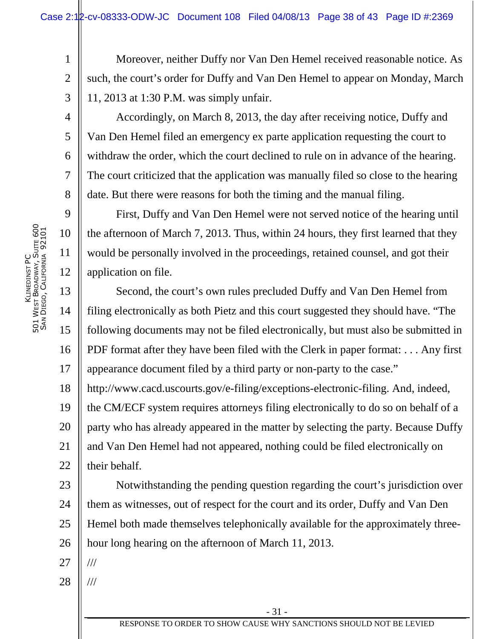1 2 3 Moreover, neither Duffy nor Van Den Hemel received reasonable notice. As such, the court's order for Duffy and Van Den Hemel to appear on Monday, March 11, 2013 at 1:30 P.M. was simply unfair.

Accordingly, on March 8, 2013, the day after receiving notice, Duffy and Van Den Hemel filed an emergency ex parte application requesting the court to withdraw the order, which the court declined to rule on in advance of the hearing. The court criticized that the application was manually filed so close to the hearing date. But there were reasons for both the timing and the manual filing.

First, Duffy and Van Den Hemel were not served notice of the hearing until the afternoon of March 7, 2013. Thus, within 24 hours, they first learned that they would be personally involved in the proceedings, retained counsel, and got their application on file.

13 14 15 16 17 Second, the court's own rules precluded Duffy and Van Den Hemel from filing electronically as both Pietz and this court suggested they should have. "The following documents may not be filed electronically, but must also be submitted in PDF format after they have been filed with the Clerk in paper format: . . . Any first appearance document filed by a third party or non-party to the case."

18 19 20 21 22 http://www.cacd.uscourts.gov/e-filing/exceptions-electronic-filing. And, indeed, the CM/ECF system requires attorneys filing electronically to do so on behalf of a party who has already appeared in the matter by selecting the party. Because Duffy and Van Den Hemel had not appeared, nothing could be filed electronically on their behalf.

23 24 25 26 Notwithstanding the pending question regarding the court's jurisdiction over them as witnesses, out of respect for the court and its order, Duffy and Van Den Hemel both made themselves telephonically available for the approximately threehour long hearing on the afternoon of March 11, 2013.

27 ///

///

28

4

5

6

7

8

9

10

11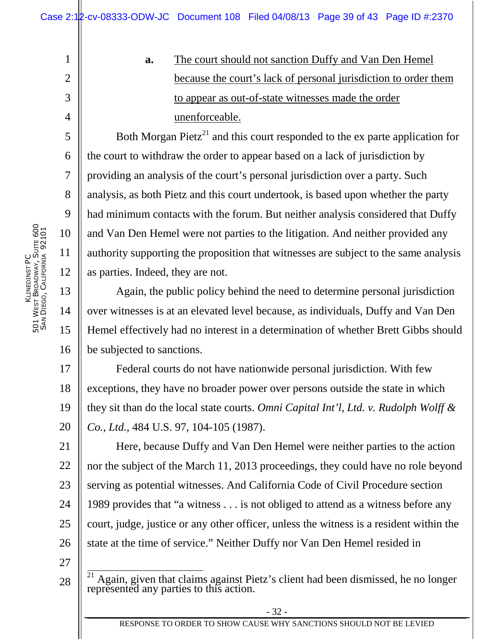**a.** The court should not sanction Duffy and Van Den Hemel because the court's lack of personal jurisdiction to order them to appear as out-of-state witnesses made the order unenforceable.

Both Morgan Pietz<sup>21</sup> and this court responded to the ex parte application for the court to withdraw the order to appear based on a lack of jurisdiction by providing an analysis of the court's personal jurisdiction over a party. Such analysis, as both Pietz and this court undertook, is based upon whether the party had minimum contacts with the forum. But neither analysis considered that Duffy and Van Den Hemel were not parties to the litigation. And neither provided any authority supporting the proposition that witnesses are subject to the same analysis as parties. Indeed, they are not.

Again, the public policy behind the need to determine personal jurisdiction over witnesses is at an elevated level because, as individuals, Duffy and Van Den Hemel effectively had no interest in a determination of whether Brett Gibbs should be subjected to sanctions.

17 18 19 20 Federal courts do not have nationwide personal jurisdiction. With few exceptions, they have no broader power over persons outside the state in which they sit than do the local state courts. *Omni Capital Int'l, Ltd. v. Rudolph Wolff & Co., Ltd.*, 484 U.S. 97, 104-105 (1987).

21 22 23 24 25 26 Here, because Duffy and Van Den Hemel were neither parties to the action nor the subject of the March 11, 2013 proceedings, they could have no role beyond serving as potential witnesses. And California Code of Civil Procedure section 1989 provides that "a witness . . . is not obliged to attend as a witness before any court, judge, justice or any other officer, unless the witness is a resident within the state at the time of service." Neither Duffy nor Van Den Hemel resided in

27

28

1

2

3

4

5

6

7

8

9

10

11

12

13

14

15

16

- 32 -

 $\frac{1}{21}$  Again, given that claims against Pietz's client had been dismissed, he no longer represented any parties to this action.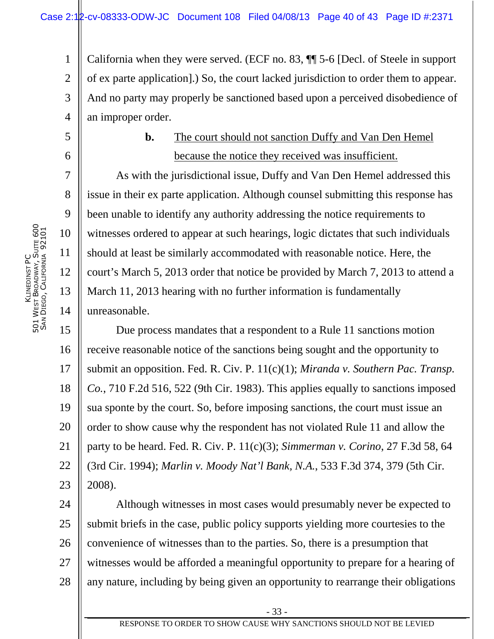1 2 3 4 California when they were served. (ECF no. 83, ¶¶ 5-6 [Decl. of Steele in support of ex parte application].) So, the court lacked jurisdiction to order them to appear. And no party may properly be sanctioned based upon a perceived disobedience of an improper order.

## **b.** The court should not sanction Duffy and Van Den Hemel because the notice they received was insufficient.

As with the jurisdictional issue, Duffy and Van Den Hemel addressed this issue in their ex parte application. Although counsel submitting this response has been unable to identify any authority addressing the notice requirements to witnesses ordered to appear at such hearings, logic dictates that such individuals should at least be similarly accommodated with reasonable notice. Here, the court's March 5, 2013 order that notice be provided by March 7, 2013 to attend a March 11, 2013 hearing with no further information is fundamentally unreasonable.

15 16 17 18 19 20 21 22 23 Due process mandates that a respondent to a Rule 11 sanctions motion receive reasonable notice of the sanctions being sought and the opportunity to submit an opposition. Fed. R. Civ. P. 11(c)(1); *Miranda v. Southern Pac. Transp. Co.*, 710 F.2d 516, 522 (9th Cir. 1983). This applies equally to sanctions imposed sua sponte by the court. So, before imposing sanctions, the court must issue an order to show cause why the respondent has not violated Rule 11 and allow the party to be heard. Fed. R. Civ. P. 11(c)(3); *Simmerman v. Corino*, 27 F.3d 58, 64 (3rd Cir. 1994); *Marlin v. Moody Nat'l Bank, N.A.*, 533 F.3d 374, 379 (5th Cir. 2008).

24 25 26 27 28 Although witnesses in most cases would presumably never be expected to submit briefs in the case, public policy supports yielding more courtesies to the convenience of witnesses than to the parties. So, there is a presumption that witnesses would be afforded a meaningful opportunity to prepare for a hearing of any nature, including by being given an opportunity to rearrange their obligations

5

6

7

8

9

10

11

12

13

14

- 33 -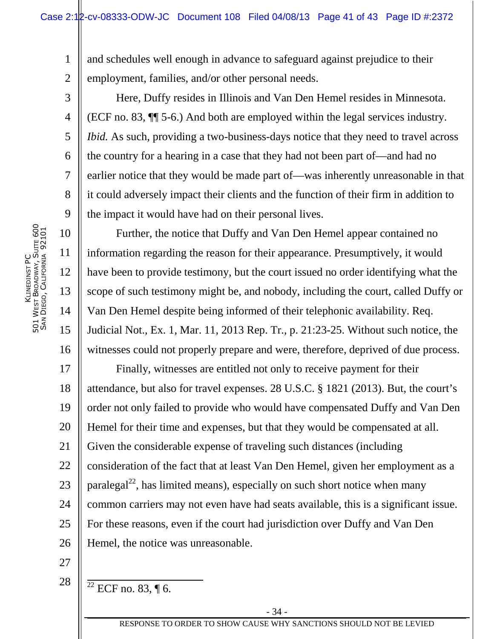1 2 and schedules well enough in advance to safeguard against prejudice to their employment, families, and/or other personal needs.

Here, Duffy resides in Illinois and Van Den Hemel resides in Minnesota. (ECF no. 83, ¶¶ 5-6.) And both are employed within the legal services industry. *Ibid.* As such, providing a two-business-days notice that they need to travel across the country for a hearing in a case that they had not been part of—and had no earlier notice that they would be made part of—was inherently unreasonable in that it could adversely impact their clients and the function of their firm in addition to the impact it would have had on their personal lives.

Further, the notice that Duffy and Van Den Hemel appear contained no information regarding the reason for their appearance. Presumptively, it would have been to provide testimony, but the court issued no order identifying what the scope of such testimony might be, and nobody, including the court, called Duffy or Van Den Hemel despite being informed of their telephonic availability. Req. Judicial Not., Ex. 1, Mar. 11, 2013 Rep. Tr., p. 21:23-25. Without such notice, the witnesses could not properly prepare and were, therefore, deprived of due process.

17 18 19 20 21 22 23 24 25 26 Finally, witnesses are entitled not only to receive payment for their attendance, but also for travel expenses. 28 U.S.C. § 1821 (2013). But, the court's order not only failed to provide who would have compensated Duffy and Van Den Hemel for their time and expenses, but that they would be compensated at all. Given the considerable expense of traveling such distances (including consideration of the fact that at least Van Den Hemel, given her employment as a paralegal<sup>22</sup>, has limited means), especially on such short notice when many common carriers may not even have had seats available, this is a significant issue. For these reasons, even if the court had jurisdiction over Duffy and Van Den Hemel, the notice was unreasonable.

- 27
- 28
- $22$  ECF no. 83, ¶ 6.

3

4

5

6

7

8

9

10

11

12

13

14

15

16

RESPONSE TO ORDER TO SHOW CAUSE WHY SANCTIONS SHOULD NOT BE LEVIED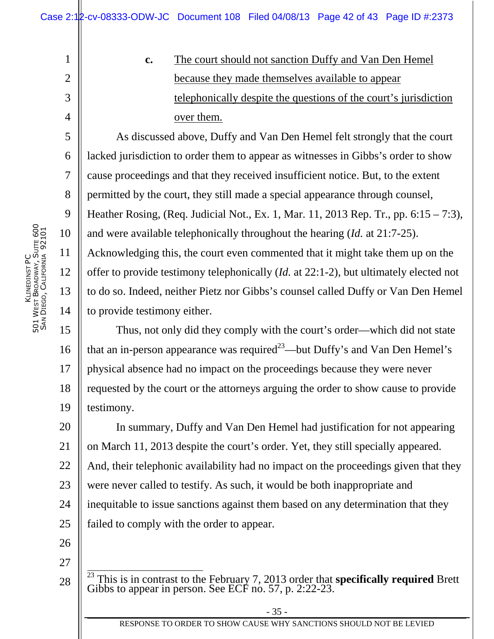**c.** The court should not sanction Duffy and Van Den Hemel because they made themselves available to appear telephonically despite the questions of the court's jurisdiction over them.

As discussed above, Duffy and Van Den Hemel felt strongly that the court lacked jurisdiction to order them to appear as witnesses in Gibbs's order to show cause proceedings and that they received insufficient notice. But, to the extent permitted by the court, they still made a special appearance through counsel, Heather Rosing, (Req. Judicial Not., Ex. 1, Mar. 11, 2013 Rep. Tr., pp. 6:15 – 7:3), and were available telephonically throughout the hearing (*Id.* at 21:7-25). Acknowledging this, the court even commented that it might take them up on the offer to provide testimony telephonically (*Id.* at 22:1-2), but ultimately elected not to do so. Indeed, neither Pietz nor Gibbs's counsel called Duffy or Van Den Hemel to provide testimony either.

15 16 17 18 19 Thus, not only did they comply with the court's order—which did not state that an in-person appearance was required<sup>23</sup>—but Duffy's and Van Den Hemel's physical absence had no impact on the proceedings because they were never requested by the court or the attorneys arguing the order to show cause to provide testimony.

20 21 22 23 24 25 In summary, Duffy and Van Den Hemel had justification for not appearing on March 11, 2013 despite the court's order. Yet, they still specially appeared. And, their telephonic availability had no impact on the proceedings given that they were never called to testify. As such, it would be both inappropriate and inequitable to issue sanctions against them based on any determination that they failed to comply with the order to appear.

- 26
- 27

28

1

2

3

4

5

6

7

8

9

10

11

12

13

14

- 35 -

<sup>&</sup>lt;sup>23</sup> This is in contrast to the February 7, 2013 order that **specifically required** Brett Gibbs to appear in person. See ECF no. 57, p. 2:22-23.